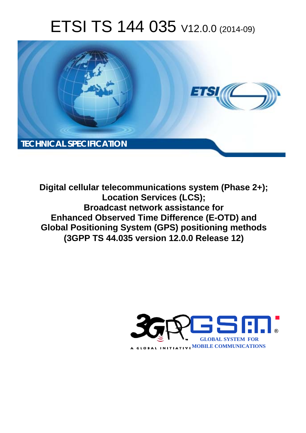# ETSI TS 144 035 V12.0.0 (2014-09)



**Digital cellular telecommunications system (Phase 2+); Location Services (LCS); Broadcast network assistance for Enhanced Observed Time Difference (E-OTD) and Global Positioning System (GPS) positioning methods (3GPP TS 44.035 version 12.0.0 Release 12)** 

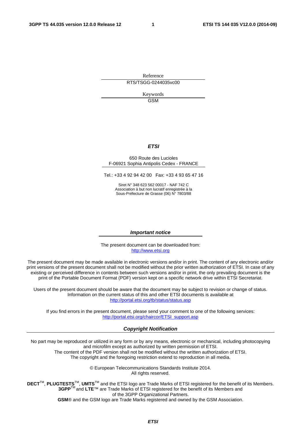Reference RTS/TSGG-0244035vc00

> Keywords GSM

#### *ETSI*

#### 650 Route des Lucioles F-06921 Sophia Antipolis Cedex - FRANCE

Tel.: +33 4 92 94 42 00 Fax: +33 4 93 65 47 16

Siret N° 348 623 562 00017 - NAF 742 C Association à but non lucratif enregistrée à la Sous-Préfecture de Grasse (06) N° 7803/88

#### *Important notice*

The present document can be downloaded from: [http://www.etsi.org](http://www.etsi.org/)

The present document may be made available in electronic versions and/or in print. The content of any electronic and/or print versions of the present document shall not be modified without the prior written authorization of ETSI. In case of any existing or perceived difference in contents between such versions and/or in print, the only prevailing document is the print of the Portable Document Format (PDF) version kept on a specific network drive within ETSI Secretariat.

Users of the present document should be aware that the document may be subject to revision or change of status. Information on the current status of this and other ETSI documents is available at <http://portal.etsi.org/tb/status/status.asp>

If you find errors in the present document, please send your comment to one of the following services: [http://portal.etsi.org/chaircor/ETSI\\_support.asp](http://portal.etsi.org/chaircor/ETSI_support.asp)

#### *Copyright Notification*

No part may be reproduced or utilized in any form or by any means, electronic or mechanical, including photocopying and microfilm except as authorized by written permission of ETSI.

The content of the PDF version shall not be modified without the written authorization of ETSI. The copyright and the foregoing restriction extend to reproduction in all media.

> © European Telecommunications Standards Institute 2014. All rights reserved.

**DECT**TM, **PLUGTESTS**TM, **UMTS**TM and the ETSI logo are Trade Marks of ETSI registered for the benefit of its Members. **3GPP**TM and **LTE**™ are Trade Marks of ETSI registered for the benefit of its Members and of the 3GPP Organizational Partners.

**GSM**® and the GSM logo are Trade Marks registered and owned by the GSM Association.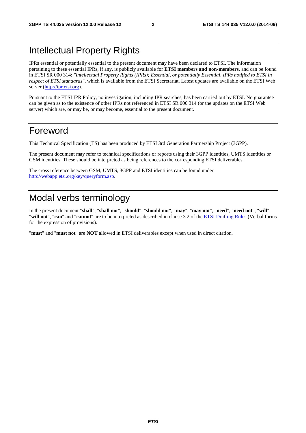### Intellectual Property Rights

IPRs essential or potentially essential to the present document may have been declared to ETSI. The information pertaining to these essential IPRs, if any, is publicly available for **ETSI members and non-members**, and can be found in ETSI SR 000 314: *"Intellectual Property Rights (IPRs); Essential, or potentially Essential, IPRs notified to ETSI in respect of ETSI standards"*, which is available from the ETSI Secretariat. Latest updates are available on the ETSI Web server [\(http://ipr.etsi.org](http://webapp.etsi.org/IPR/home.asp)).

Pursuant to the ETSI IPR Policy, no investigation, including IPR searches, has been carried out by ETSI. No guarantee can be given as to the existence of other IPRs not referenced in ETSI SR 000 314 (or the updates on the ETSI Web server) which are, or may be, or may become, essential to the present document.

### Foreword

This Technical Specification (TS) has been produced by ETSI 3rd Generation Partnership Project (3GPP).

The present document may refer to technical specifications or reports using their 3GPP identities, UMTS identities or GSM identities. These should be interpreted as being references to the corresponding ETSI deliverables.

The cross reference between GSM, UMTS, 3GPP and ETSI identities can be found under [http://webapp.etsi.org/key/queryform.asp.](http://webapp.etsi.org/key/queryform.asp)

### Modal verbs terminology

In the present document "**shall**", "**shall not**", "**should**", "**should not**", "**may**", "**may not**", "**need**", "**need not**", "**will**", "**will not**", "**can**" and "**cannot**" are to be interpreted as described in clause 3.2 of the [ETSI Drafting Rules](http://portal.etsi.org/Help/editHelp!/Howtostart/ETSIDraftingRules.aspx) (Verbal forms for the expression of provisions).

"**must**" and "**must not**" are **NOT** allowed in ETSI deliverables except when used in direct citation.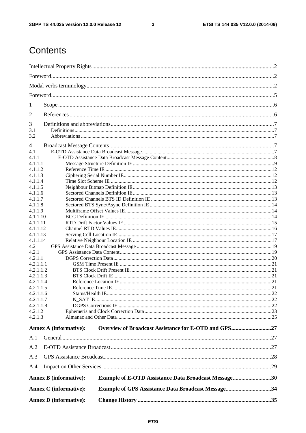$\mathbf{3}$ 

### Contents

| 1                      |                               |                                                             |  |
|------------------------|-------------------------------|-------------------------------------------------------------|--|
|                        |                               |                                                             |  |
| 2                      |                               |                                                             |  |
| 3                      |                               |                                                             |  |
| 3.1<br>3.2             |                               |                                                             |  |
|                        |                               |                                                             |  |
| 4<br>4.1               |                               |                                                             |  |
| 4.1.1                  |                               |                                                             |  |
| 4.1.1.1                |                               |                                                             |  |
| 4.1.1.2                |                               |                                                             |  |
| 4.1.1.3                |                               |                                                             |  |
| 4.1.1.4                |                               |                                                             |  |
| 4.1.1.5                |                               |                                                             |  |
| 4.1.1.6                |                               |                                                             |  |
| 4.1.1.7                |                               |                                                             |  |
| 4.1.1.8                |                               |                                                             |  |
| 4.1.1.9                |                               |                                                             |  |
| 4.1.1.10<br>4.1.1.11   |                               |                                                             |  |
| 4.1.1.12               |                               |                                                             |  |
| 4.1.1.13               |                               |                                                             |  |
| 4.1.1.14               |                               |                                                             |  |
| 4.2                    |                               |                                                             |  |
| 4.2.1                  |                               |                                                             |  |
| 4.2.1.1                |                               |                                                             |  |
| 4.2.1.1.1              |                               |                                                             |  |
| 4.2.1.1.2              |                               |                                                             |  |
| 4.2.1.1.3              |                               |                                                             |  |
| 4.2.1.1.4              |                               |                                                             |  |
| 4.2.1.1.5              |                               |                                                             |  |
| 4.2.1.1.6<br>4.2.1.1.7 |                               |                                                             |  |
| 4.2.1.1.8              |                               |                                                             |  |
| 4.2.1.2                |                               |                                                             |  |
| 4.2.1.3                |                               |                                                             |  |
|                        | <b>Annex A (informative):</b> |                                                             |  |
| A.1                    |                               |                                                             |  |
| A.2                    |                               |                                                             |  |
| A.3                    |                               |                                                             |  |
| A.4                    |                               |                                                             |  |
|                        | <b>Annex B</b> (informative): | <b>Example of E-OTD Assistance Data Broadcast Message30</b> |  |
|                        |                               |                                                             |  |
|                        | <b>Annex C</b> (informative): | <b>Example of GPS Assistance Data Broadcast Message34</b>   |  |
|                        | <b>Annex D</b> (informative): |                                                             |  |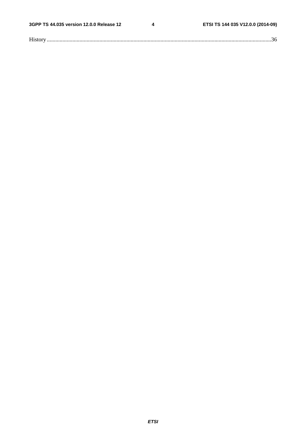$\overline{\mathbf{4}}$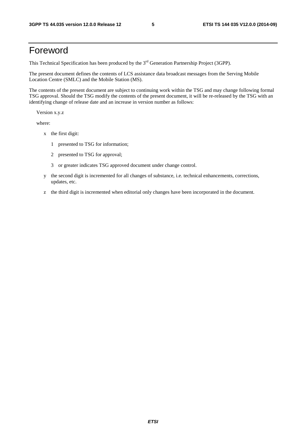### Foreword

This Technical Specification has been produced by the 3<sup>rd</sup> Generation Partnership Project (3GPP).

The present document defines the contents of LCS assistance data broadcast messages from the Serving Mobile Location Centre (SMLC) and the Mobile Station (MS).

The contents of the present document are subject to continuing work within the TSG and may change following formal TSG approval. Should the TSG modify the contents of the present document, it will be re-released by the TSG with an identifying change of release date and an increase in version number as follows:

Version x.y.z

where:

- x the first digit:
	- 1 presented to TSG for information;
	- 2 presented to TSG for approval;
	- 3 or greater indicates TSG approved document under change control.
- y the second digit is incremented for all changes of substance, i.e. technical enhancements, corrections, updates, etc.
- z the third digit is incremented when editorial only changes have been incorporated in the document.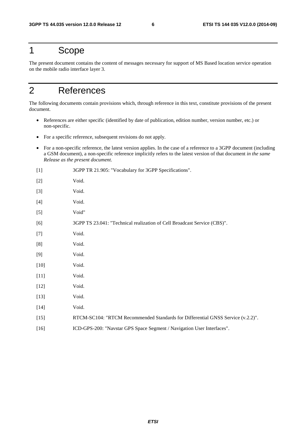### 1 Scope

The present document contains the content of messages necessary for support of MS Based location service operation on the mobile radio interface layer 3.

### 2 References

The following documents contain provisions which, through reference in this text, constitute provisions of the present document.

- References are either specific (identified by date of publication, edition number, version number, etc.) or non-specific.
- For a specific reference, subsequent revisions do not apply.
- For a non-specific reference, the latest version applies. In the case of a reference to a 3GPP document (including a GSM document), a non-specific reference implicitly refers to the latest version of that document *in the same Release as the present document*.
- [1] 3GPP TR 21.905: "Vocabulary for 3GPP Specifications". [2] Void. [3] Void. [4] Void. [5] Void" [6] 3GPP TS 23.041: "Technical realization of Cell Broadcast Service (CBS)". [7] Void. [8] Void. [9] Void. [10] **Void.** [11] **Void.** [12] **Void.** [13] **Void.** [14] Void. [15] RTCM-SC104: "RTCM Recommended Standards for Differential GNSS Service (v.2.2)". [16] ICD-GPS-200: "Navstar GPS Space Segment / Navigation User Interfaces".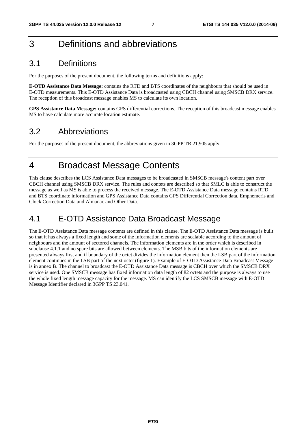### 3 Definitions and abbreviations

### 3.1 Definitions

For the purposes of the present document, the following terms and definitions apply:

**E-OTD Assistance Data Message:** contains the RTD and BTS coordinates of the neighbours that should be used in E-OTD measurements. This E-OTD Assistance Data is broadcasted using CBCH channel using SMSCB DRX service. The reception of this broadcast message enables MS to calculate its own location.

**GPS Assistance Data Message:** contains GPS differential corrections. The reception of this broadcast message enables MS to have calculate more accurate location estimate.

### 3.2 Abbreviations

For the purposes of the present document, the abbreviations given in 3GPP TR 21.905 apply.

### 4 Broadcast Message Contents

This clause describes the LCS Assistance Data messages to be broadcasted in SMSCB message's content part over CBCH channel using SMSCB DRX service. The rules and contets are described so that SMLC is able to construct the message as well as MS is able to process the received message. The E-OTD Assistance Data message contains RTD and BTS coordinate information and GPS Assistance Data contains GPS Differential Correction data, Emphemeris and Clock Correction Data and Almanac and Other Data.

### 4.1 E-OTD Assistance Data Broadcast Message

The E-OTD Assistance Data message contents are defined in this clause. The E-OTD Assistance Data message is built so that it has always a fixed length and some of the information elements are scalable according to the amount of neighbours and the amount of sectored channels. The information elements are in the order which is described in subclause 4.1.1 and no spare bits are allowed between elements. The MSB bits of the information elements are presented always first and if boundary of the octet divides the information element then the LSB part of the information element continues in the LSB part of the next octet (figure 1). Example of E-OTD Assistance Data Broadcast Message is in annex B. The channel to broadcast the E-OTD Assistance Data message is CBCH over which the SMSCB DRX service is used. One SMSCB message has fixed information data length of 82 octets and the purpose is always to use the whole fixed length message capacity for the message. MS can identify the LCS SMSCB message with E-OTD Message Identifier declared in 3GPP TS 23.041.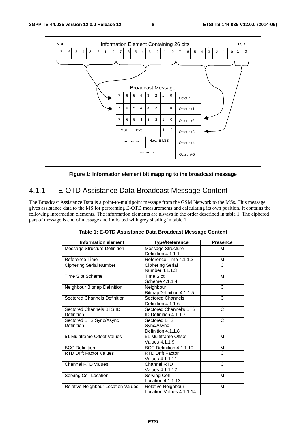

**Figure 1: Information element bit mapping to the broadcast message** 

### 4.1.1 E-OTD Assistance Data Broadcast Message Content

The Broadcast Assistance Data is a point-to-multipoint message from the GSM Network to the MSs. This message gives assistance data to the MS for performing E-OTD measurements and calculating its own position. It contains the following information elements. The information elements are always in the order described in table 1. The ciphered part of message is end of message and indicated with grey shading in table 1.

| <b>Information element</b>             | <b>Type/Reference</b>                            | <b>Presence</b> |
|----------------------------------------|--------------------------------------------------|-----------------|
| Message Structure Definition           | Message Structure<br>Definition 4.1.1.1          | M               |
| Reference Time                         | Reference Time 4.1.1.2                           | М               |
| <b>Ciphering Serial Number</b>         | <b>Ciphering Serial</b><br>Number 4.1.1.3        | C               |
| <b>Time Slot Scheme</b>                | <b>Time Slot</b><br>Scheme 4.1.1.4               | М               |
| Neighbour Bitmap Definition            | Neighbour<br>BitmapDefinition 4.1.1.5            | C               |
| <b>Sectored Channels Definition</b>    | <b>Sectored Channels</b><br>Definition 4.1.1.6   | C               |
| Sectored Channels BTS ID<br>Definition | Sectored Channel's BTS<br>ID Definition 4.1.1.7  | C               |
| Sectored BTS Sync/Async<br>Definition  | Sectored BTS<br>Sync/Async<br>Definition 4.1.1.8 | C               |
| 51 Multiframe Offset Values            | 51 Multiframe Offset<br>Values 4.1.1.9           | м               |
| <b>BCC Definition</b>                  | BCC Definition 4.1.1.10                          | м               |
| <b>RTD Drift Factor Values</b>         | <b>RTD Drift Factor</b><br>Values 4.1.1.11       | C               |
| <b>Channel RTD Values</b>              | Channel RTD<br>Values 4.1.1.12                   | C               |
| Serving Cell Location                  | Serving Cell<br>Location 4.1.1.13                | M               |
| Relative Neighbour Location Values     | Relative Neighbour<br>Location Values 4.1.1.14   | M               |

**Table 1: E-OTD Assistance Data Broadcast Message Content**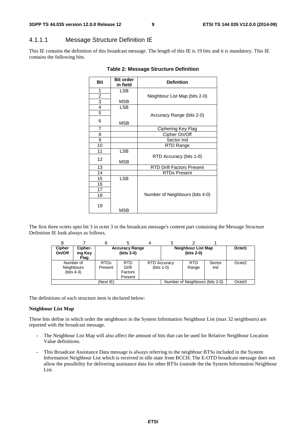### 4.1.1.1 Message Structure Definition IE

This IE contains the definition of this broadcast message. The length of this IE is 19 bits and it is mandatory. This IE contains the following bits.

| <b>Bit</b>     | <b>Bit order</b><br>in field | <b>Definition</b>                |
|----------------|------------------------------|----------------------------------|
| 1              | <b>LSB</b>                   |                                  |
| 2              |                              | Neighbour List Map (bits 2-0)    |
| 3              | MSB                          |                                  |
| 4              | <b>LSB</b>                   |                                  |
| 5              |                              | Accuracy Range (bits 2-0)        |
| 6              | MSB                          |                                  |
| $\overline{7}$ |                              | Ciphering Key Flag               |
| 8              |                              | Cipher On/Off                    |
| 9              |                              | Sector Ind                       |
| 10             |                              | RTD Range                        |
| 11             | <b>LSB</b>                   |                                  |
| 12             | MSB                          | RTD Accuracy (bits 1-0)          |
| 13             |                              | <b>RTD Drift Factors Present</b> |
| 14             |                              | <b>RTDs Present</b>              |
| 15             | <b>LSB</b>                   |                                  |
| 16             |                              |                                  |
| 17             |                              |                                  |
| 18             |                              | Number of Neighbours (bits 4-0)  |
| 19             | MSB                          |                                  |

#### **Table 2: Message Structure Definition**

The first three octets upto bit 3 in octet 3 in the broadcast message's content part containing the Message Structure Definition IE look always as follows.

| <b>Cipher</b><br>On/Off | Cipher-<br>ing Key<br>Flag               |                        | <b>Accuracy Range</b><br>(bits 2-0)       |                                     | Neighbour List Map<br>(bits 2-0) |               | Octet1             |
|-------------------------|------------------------------------------|------------------------|-------------------------------------------|-------------------------------------|----------------------------------|---------------|--------------------|
|                         | Number of<br>Neighbours<br>(bits $4-3$ ) | <b>RTDs</b><br>Present | <b>RTD</b><br>Drift<br>Factors<br>Present | <b>RTD Accuracy</b><br>$(bits 1-0)$ | <b>RTD</b><br>Range              | Sector<br>Ind | Octet <sub>2</sub> |
| (Next IE)               |                                          |                        |                                           |                                     | Number of Neighbours (bits 2-0)  |               | Octet <sub>3</sub> |

The definitions of each structure item is declared below:

#### **Neighbour List Map**

These bits define in which order the neighbours in the System Information Neighbour List (max 32 neighbours) are reported with the broadcast message.

- The Neighbour List Map will also affect the amount of bits that can be used for Relative Neighbour Location Value definitions.
- This Broadcast Assistance Data message is always referring to the neighbour BTSs included in the System Information Neighbour List which is received in idle state from BCCH. The E-OTD broadcast message does not allow the possibility for delivering assistance data for other BTSs (outside the the System Information Neighbour List.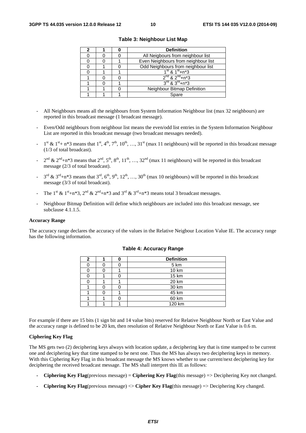|  | <b>Definition</b>                      |  |  |  |
|--|----------------------------------------|--|--|--|
|  | All Neigbours from neighbour list      |  |  |  |
|  | Even Neighbours from neighbour list    |  |  |  |
|  | Odd Neighbours from neighbour list     |  |  |  |
|  | $1^{\text{st}}$ & $1^{\text{st}}$ +n*3 |  |  |  |
|  | $2^{nd}$ & $2^{nd}$ +n*3               |  |  |  |
|  | $3^{\text{rd}}$ & $3^{\text{rd}}$ +n*3 |  |  |  |
|  | Neighbour Bitmap Definition            |  |  |  |
|  | Spare                                  |  |  |  |

**Table 3: Neighbour List Map** 

- All Neighbours means all the neighbours from System Information Neighbour list (max 32 neighbours) are reported in this broadcast message (1 broadcast message).
- Even/Odd neighbours from neighbour list means the even/odd list entries in the System Information Neighbour List are reported in this broadcast message (two broadcast messages needed).
- $1^{\text{st}}$  &  $1^{\text{st}}$  + n\*3 means that  $1^{\text{st}}$ ,  $4^{\text{th}}$ ,  $7^{\text{th}}$ ,  $10^{\text{th}}$ , …,  $31^{\text{st}}$  (max 11 neighbours) will be reported in this broadcast message (1/3 of total broadcast).
- $2^{nd}$  &  $2^{nd}$ +n\*3 means that  $2^{nd}$ ,  $5^{th}$ ,  $8^{th}$ ,  $11^{th}$ , …,  $32^{nd}$  (max 11 neighbours) will be reported in this broadcast message (2/3 of total broadcast).
- $3^{\text{rd}}$  &  $3^{\text{rd}}+n*3$  means that  $3^{\text{rd}}, 6^{\text{th}}, 9^{\text{th}}, 12^{\text{th}}, ..., 30^{\text{th}}$  (max 10 neighbours) will be reported in this broadcast message (3/3 of total broadcast).
- The 1<sup>st</sup> & 1<sup>st</sup>+n\*3, 2<sup>nd</sup> & 2<sup>nd</sup>+n\*3 and 3<sup>rd</sup> & 3<sup>rd</sup>+n\*3 means total 3 broadcast messages.
- Neighbour Bitmap Definition will define which neighbours are included into this broadcast message, see subclause 4.1.1.5.

#### **Accuracy Range**

The accuracy range declares the accuracy of the values in the Relative Neigbour Location Value IE. The accuracy range has the following information.

| 2 |  | <b>Definition</b> |  |  |  |  |
|---|--|-------------------|--|--|--|--|
|   |  | 5 km              |  |  |  |  |
|   |  | 10 km             |  |  |  |  |
|   |  | 15 km             |  |  |  |  |
|   |  | 20 km             |  |  |  |  |
|   |  | 30 km             |  |  |  |  |
|   |  | 45 km             |  |  |  |  |
|   |  | 60 km             |  |  |  |  |
|   |  | 120 km            |  |  |  |  |

#### **Table 4: Accuracy Range**

For example if there are 15 bits (1 sign bit and 14 value bits) reserved for Relative Neighbour North or East Value and the accuracy range is defined to be 20 km, then resolution of Relative Neighbour North or East Value is 0.6 m.

#### **Ciphering Key Flag**

The MS gets two (2) deciphering keys always with location update, a deciphering key that is time stamped to be current one and deciphering key that time stamped to be next one. Thus the MS has always two deciphering keys in memory. With this Ciphering Key Flag in this broadcast message the MS knows whether to use current/next deciphering key for deciphering the received broadcast message. The MS shall interpret this IE as follows:

- **Ciphering Key Flag**(previous message) = **Ciphering Key Flag**(this message) => Deciphering Key not changed.
- **Ciphering Key Flag**(previous message) <> **Cipher Key Flag**(this message) => Deciphering Key changed.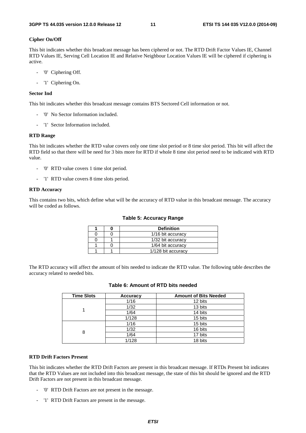#### **Cipher On/Off**

This bit indicates whether this broadcast message has been ciphered or not. The RTD Drift Factor Values IE, Channel RTD Values IE, Serving Cell Location IE and Relative Neighbour Location Values IE will be ciphered if ciphering is active.

- '0' Ciphering Off.
- '1' Ciphering On.

#### **Sector Ind**

This bit indicates whether this broadcast message contains BTS Sectored Cell information or not.

- '0' No Sector Information included.
- '1' Sector Information included.

#### **RTD Range**

This bit indicates whether the RTD value covers only one time slot period or 8 time slot period. This bit will affect the RTD field so that there will be need for 3 bits more for RTD if whole 8 time slot period need to be indicated with RTD value.

- '0' RTD value covers 1 time slot period.
- '1' RTD value covers 8 time slots period.

#### **RTD Accuracy**

This contains two bits, which define what will be the accuracy of RTD value in this broadcast message. The accuracy will be coded as follows.

|  | <b>Definition</b>  |  |  |  |  |
|--|--------------------|--|--|--|--|
|  | 1/16 bit accuracy  |  |  |  |  |
|  | 1/32 bit accuracy  |  |  |  |  |
|  | 1/64 bit accuracy  |  |  |  |  |
|  | 1/128 bit accuracy |  |  |  |  |

The RTD accuracy will affect the amount of bits needed to indicate the RTD value. The following table describes the accuracy related to needed bits.

| <b>Time Slots</b> | Accuracy | <b>Amount of Bits Needed</b> |
|-------------------|----------|------------------------------|
|                   | 1/16     | 12 bits                      |
|                   | 1/32     | 13 bits                      |
|                   | 1/64     | 14 bits                      |
|                   | 1/128    | 15 bits                      |
|                   | 1/16     | 15 bits                      |
| 8                 | 1/32     | 16 bits                      |
|                   | 1/64     | 17 bits                      |
|                   | 1/128    | 18 bits                      |

#### **Table 6: Amount of RTD bits needed**

#### **RTD Drift Factors Present**

This bit indicates whether the RTD Drift Factors are present in this broadcast message. If RTDs Present bit indicates that the RTD Values are not included into this broadcast message, the state of this bit should be ignored and the RTD Drift Factors are not present in this broadcast message.

- '0' RTD Drift Factors are not present in the message.
- '1' RTD Drift Factors are present in the message.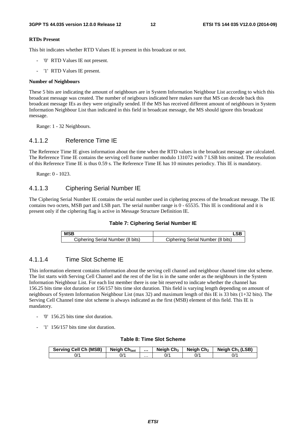#### **RTDs Present**

This bit indicates whether RTD Values IE is present in this broadcast or not.

- '0' RTD Values IE not present.
- '1' RTD Values IE present.

#### **Number of Neighbours**

These 5 bits are indicating the amount of neighbours are in System Information Neighbour List according to which this broadcast message was created. The number of neigbours indicated here makes sure that MS can decode back this broadcast message IEs as they were originally sended. If the MS has received different amount of neighbours in System Information Neighbour List than indicated in this field in broadcast message, the MS should ignore this broadcast message.

Range: 1 - 32 Neighbours.

#### 4.1.1.2 Reference Time IE

The Reference Time IE gives information about the time when the RTD values in the broadcast message are calculated. The Reference Time IE contains the serving cell frame number modulo 131072 with 7 LSB bits omitted. The resolution of this Reference Time IE is thus 0.59 s. The Reference Time IE has 10 minutes periodicy. This IE is mandatory.

Range: 0 - 1023.

#### 4.1.1.3 Ciphering Serial Number IE

The Ciphering Serial Number IE contains the serial number used in ciphering process of the broadcast message. The IE contains two octets, MSB part and LSB part. The serial number range is 0 - 65535. This IE is conditional and it is present only if the ciphering flag is active in Message Structure Definition IE.



| <b>MSB</b>                       |                                  |  |  |  |
|----------------------------------|----------------------------------|--|--|--|
| Ciphering Serial Number (8 bits) | Ciphering Serial Number (8 bits) |  |  |  |

#### 4.1.1.4 Time Slot Scheme IE

This information element contains information about the serving cell channel and neighbour channel time slot scheme. The list starts with Serving Cell Channel and the rest of the list is in the same order as the neighbours in the System Information Neighbour List. For each list member there is one bit reserved to indicate whether the channel has 156.25 bits time slot duration or 156/157 bits time slot duration. This field is varying length depending on amount of neighbours of System Information Neighbour List (max 32) and maximum length of this IE is 33 bits (1+32 bits). The Serving Cell Channel time slot scheme is always indicated as the first (MSB) element of this field. This IE is mandatory.

- '0' 156.25 bits time slot duration.
- '1' 156/157 bits time slot duration.

#### **Table 8: Time Slot Scheme**

| <b>Serving Cell Ch (MSB)</b> | <b>Neigh Ch<sub>last</sub></b> |   | <b>Neigh Ch<sub>3</sub></b> | Neiah Ch <sub>2</sub> | Neigh $Ch_1(LSB)$ |
|------------------------------|--------------------------------|---|-----------------------------|-----------------------|-------------------|
| ^/0                          | ^/0                            | . | ^/0                         | 0/1                   | 0/1               |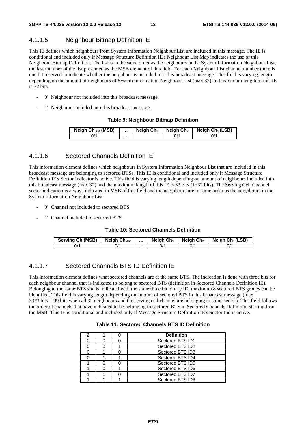#### 4.1.1.5 Neighbour Bitmap Definition IE

This IE defines which neighbours from System Information Neighbour List are included in this message. The IE is conditional and included only if Message Structure Definition IE's Neighbour List Map indicates the use of this Neighbour Bitmap Definition. The list is in the same order as the neighbours in the System Information Neighbour List, the last member of the list presented as the MSB element of this field. For each Neighbour List channel number there is one bit reserved to indicate whether the neighbour is included into this broadcast message. This field is varying length depending on the amount of neighbours of System Information Neighbour List (max 32) and maximum length of this IE is 32 bits.

- '0' Neighbour not included into this broadcast message.
- '1' Neighbour included into this broadcast message.

#### **Table 9: Neighbour Bitmap Definition**

| Neigh Ch <sub>last</sub> (MSB) |   | Neigh $Ch3$ | Neigh Ch <sub>2</sub> | Neigh $Ch_1(LSB)$ |
|--------------------------------|---|-------------|-----------------------|-------------------|
| $J^{\prime}$                   | . |             |                       |                   |

#### 4.1.1.6 Sectored Channels Definition IE

This information element defines which neighbours in System Information Neighbour List that are included in this broadcast message are belonging to sectored BTSs. This IE is conditional and included only if Message Structure Definition IE's Sector Indicator is active. This field is varying length depending on amount of neighbours included into this broadcast message (max 32) and the maximum length of this IE is 33 bits (1+32 bits). The Serving Cell Channel sector indication is always indicated in MSB of this field and the neighbours are in same order as the neighbours in the System Information Neighbour List.

- '0' Channel not included to sectored BTS.
- '1' Channel included to sectored BTS.

#### **Table 10: Sectored Channels Definition**

| Serving Ch (MSB) | <b>Neigh Chlast</b> |   | Neigh $Ch_3$ | Neiah Ch <sub>2</sub> | Neigh $Ch_1(LSB)$ |
|------------------|---------------------|---|--------------|-----------------------|-------------------|
| J/               | J/'                 | . |              | ^/0                   | ^/0               |

#### 4.1.1.7 Sectored Channels BTS ID Definition IE

This information element defines what sectored channels are at the same BTS. The indication is done with three bits for each neighbour channel that is indicated to belong to sectored BTS (definition in Sectored Channels Definition IE). Belonging to the same BTS site is indicated with the same three bit binary ID, maximum 8 sectored BTS groups can be identified. This field is varying length depending on amount of sectored BTS in this broadcast message (max 33\*3 bits = 99 bits when all 32 neighbours and the serving cell channel are belonging to some sector). This field follows the order of channels that have indicated to be belonging to sectored BTS in Sectored Channels Definition starting from the MSB. This IE is conditional and included only if Message Structure Definition IE's Sector Ind is active.

#### **Table 11: Sectored Channels BTS ID Definition**

| 2 |  | <b>Definition</b> |  |
|---|--|-------------------|--|
|   |  | Sectored BTS ID1  |  |
|   |  | Sectored BTS ID2  |  |
|   |  | Sectored BTS ID3  |  |
|   |  | Sectored BTS ID4  |  |
|   |  | Sectored BTS ID5  |  |
|   |  | Sectored BTS ID6  |  |
|   |  | Sectored BTS ID7  |  |
|   |  | Sectored BTS ID8  |  |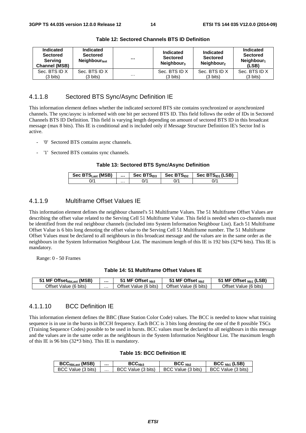| Indicated<br><b>Sectored</b><br><b>Serving</b><br><b>Channel (MSB)</b> | <b>Indicated</b><br><b>Sectored</b><br>Neighbour <sub>last</sub> | $\cdots$ | <b>Indicated</b><br><b>Sectored</b><br>Neighbour <sub>3</sub> | Indicated<br><b>Sectored</b><br>Neighbour <sub>2</sub> | Indicated<br><b>Sectored</b><br>Neighbour $_1$<br>(LSB) |
|------------------------------------------------------------------------|------------------------------------------------------------------|----------|---------------------------------------------------------------|--------------------------------------------------------|---------------------------------------------------------|
| Sec. BTS ID X                                                          | Sec. BTS ID X                                                    |          | Sec. BTS ID X                                                 | Sec. BTS ID X                                          | Sec. BTS ID X                                           |
| $(3 \text{ bits})$                                                     | $(3 \text{ bits})$                                               | $\cdots$ | (3 bits)                                                      | $(3 \text{ bits})$                                     | $(3 \text{ bits})$                                      |

**Table 12: Sectored Channels BTS ID Definition** 

#### 4.1.1.8 Sectored BTS Sync/Async Definition IE

This information element defines whether the indicated sectored BTS site contains synchronized or asynchronized channels. The sync/async is informed with one bit per sectored BTS ID. This field follows the order of IDs in Sectored Channels BTS ID Definition. This field is varying length depending on amount of sectored BTS ID in this broadcast message (max 8 bits). This IE is conditional and is included only if Message Structure Definition IE's Sector Ind is active.

- '0' Sectored BTS contains async channels.
- '1' Sectored BTS contains sync channels.

#### **Table 13: Sectored BTS Sync/Async Definition**

| Sec BTS <sub>Last</sub> (MSB) |   | Sec $BTS1D3$ | Sec $BTSID2$ | Sec BTS <sub>ID1</sub> (LSB) |
|-------------------------------|---|--------------|--------------|------------------------------|
| $J^{\prime}$                  | . |              | J/           | J/'                          |

#### 4.1.1.9 Multiframe Offset Values IE

This information element defines the neighbour channel's 51 Multiframe Values. The 51 Multiframe Offset Values are describing the offset value related to the Serving Cell 51 Multiframe Value. This field is needed when co-channels must be identified from the real neighbour channels (included into System Information Neighbour List). Each 51 Multiframe Offset Value is 6 bits long denoting the offset value to the Serving Cell 51 Multiframe number. The 51 Multiframe Offset Values must be declared to all neighbours in this broadcast message and the values are in the same order as the neighbours in the System Information Neighbour List. The maximum length of this IE is 192 bits (32\*6 bits). This IE is mandatory.

Range: 0 - 50 Frames

#### **Table 14: 51 Multiframe Offset Values IE**

| I MF Offset <sub>NbLast</sub> (MSB) |   | MF Offset $_{Nb3}$         | $MF$ Offset $_{Nb2}$  | (LSB)<br>MF Offset <sub>Nb1</sub> |
|-------------------------------------|---|----------------------------|-----------------------|-----------------------------------|
| Offset Value (6 bits)               | . | )ttset ∶<br>Value (6 bits) | Offset Value (6 bits) | $O$ ffset<br>Value (6 bits)       |

#### 4.1.1.10 BCC Definition IE

This information element defines the BBC (Base Station Color Code) values. The BCC is needed to know what training sequence is in use in the bursts in BCCH frequency. Each BCC is 3 bits long denoting the one of the 8 possible TSCs (Training Sequence Codes) possible to be used in bursts. BCC values must be declared to all neighbours in this message and the values are in the same order as the neighbours in the System Information Neighbour List. The maximum length of this IE is 96 bits (32\*3 bits). This IE is mandatory.

#### **Table 15: BCC Definition IE**

| <b>BCC<sub>NbLast</sub></b> (MSB) |   | BCC <sub>Nh3</sub>     | BCC <sub>Nh2</sub> | $BCCNb1$ (LSB)     |
|-----------------------------------|---|------------------------|--------------------|--------------------|
| BCC Value (3 bits)                | . | Value (3 bits)<br>BCC. | BCC Value (3 bits) | BCC Value (3 bits) |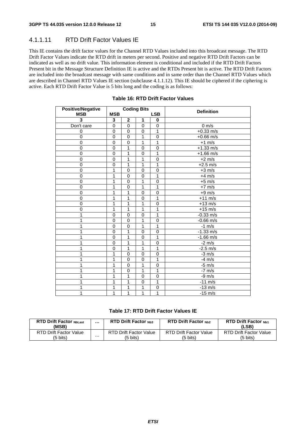#### 4.1.1.11 RTD Drift Factor Values IE

This IE contains the drift factor values for the Channel RTD Values included into this broadcast message. The RTD Drift Factor Values indicate the RTD drift in meters per second. Positive and negative RTD Drift Factors can be indicated as well as no drift value. This information element is conditional and included if the RTD Drift Factors Present bit in the Message Structure Definition IE is active and the RTDs Present bit is active. The RTD Drift Factors are included into the broadcast message with same conditions and in same order than the Channel RTD Values which are described in Channel RTD Values IE section (subclause 4.1.1.12). This IE should be ciphered if the ciphering is active. Each RTD Drift Factor Value is 5 bits long and the coding is as follows:

| <b>Positive/Negative</b> |                |                | <b>Coding Bits</b> |                | <b>Definition</b> |
|--------------------------|----------------|----------------|--------------------|----------------|-------------------|
| <b>MSB</b>               | <b>MSB</b>     |                |                    | <b>LSB</b>     |                   |
| 3                        | 3              | $\overline{2}$ | 1                  | 0              |                   |
| Don't care               | 0              | $\mathbf 0$    | $\Omega$           | $\overline{0}$ | $0 \text{ m/s}$   |
| 0                        | $\mathbf 0$    | $\mathbf 0$    | $\mathbf 0$        | 1              | $+0.33$ m/s       |
| $\mathbf 0$              | $\overline{0}$ | $\mathbf 0$    | 1                  | 0              | $+0.66$ m/s       |
| 0                        | $\mathbf 0$    | $\mathbf 0$    | 1                  | 1              | $+1$ m/s          |
| $\pmb{0}$                | 0              | 1              | $\mathbf 0$        | $\mathbf 0$    | $+1.33$ m/s       |
| $\overline{0}$           | $\mathbf 0$    | 1              | $\mathbf 0$        | 1              | $+1.66$ m/s       |
| $\mathbf 0$              | $\mathbf 0$    | 1              | 1                  | 0              | $+2$ m/s          |
| $\mathbf 0$              | $\mathbf 0$    | 1              | 1                  | 1              | $+2.5$ m/s        |
| 0                        | 1              | $\mathbf 0$    | $\mathbf 0$        | 0              | $+3$ m/s          |
| $\mathbf 0$              | 1              | $\mathbf 0$    | $\mathbf 0$        | 1              | $+4$ m/s          |
| $\mathbf 0$              | 1              | $\mathbf 0$    | 1                  | 0              | $+5$ m/s          |
| 0                        | 1              | $\mathbf 0$    | 1                  | 1              | $+7$ m/s          |
| $\mathbf 0$              | 1              | 1              | $\overline{0}$     | $\mathbf 0$    | $+9$ m/s          |
| 0                        | 1              | 1              | $\mathbf 0$        | 1              | $+11$ m/s         |
| $\mathbf 0$              | 1              | 1              | 1                  | $\mathbf 0$    | $+13$ m/s         |
| $\overline{0}$           | 1              | 1              | 1                  | 1              | $+15$ m/s         |
|                          | $\mathbf 0$    | $\mathbf 0$    | $\mathbf 0$        | 1              | $-0.33$ m/s       |
|                          | 0              | $\mathbf 0$    | 1                  | $\mathbf 0$    | $-0.66$ m/s       |
|                          | $\mathbf 0$    | $\mathbf 0$    | 1                  | 1              | $-1$ m/s          |
|                          | $\Omega$       | 1              | $\Omega$           | $\Omega$       | $-1.33$ m/s       |
|                          | $\mathbf 0$    | 1              | $\Omega$           | 1              | $-1.66$ m/s       |
|                          | $\mathbf 0$    | 1              | 1                  | $\overline{0}$ | $-2 \text{ m/s}$  |
|                          | 0              | 1              | 1                  | 1              | $-2.5$ m/s        |
|                          | 1              | $\mathbf 0$    | $\mathbf 0$        | 0              | $-3$ m/s          |
|                          | 1              | $\mathbf 0$    | $\mathbf 0$        | 1              | $-4$ m/s          |
| 1                        | 1              | $\mathbf 0$    | 1                  | 0              | $-5$ m/s          |
|                          | 1              | $\overline{0}$ | 1                  | 1              | $-7$ m/s          |
|                          | 1              | 1              | $\mathbf 0$        | $\mathbf 0$    | $-9$ m/s          |
|                          | 1              | 1              | $\mathbf 0$        | $\overline{1}$ | $-11$ m/s         |
|                          | 1              | 1              | 1                  | $\mathbf 0$    | $-13$ m/s         |
| 1                        | 1              | 1              | 1                  | 1              | $-15$ m/s         |

#### **Table 16: RTD Drift Factor Values**

#### **Table 17: RTD Drift Factor Values IE**

| <b>RTD Drift Factor NbLast</b><br>(MSB) | $\cdots$ | <b>RTD Drift Factor Nh3</b> | <b>RTD Drift Factor Nb2</b> | <b>RTD Drift Factor Nh1</b><br>(LSB) |
|-----------------------------------------|----------|-----------------------------|-----------------------------|--------------------------------------|
| <b>RTD Drift Factor Value</b>           | .        | RTD Drift Factor Value      | RTD Drift Factor Value      | <b>RTD Drift Factor Value</b>        |
| (5 bits)                                |          | (5 bits)                    | (5 bits)                    | (5 bits)                             |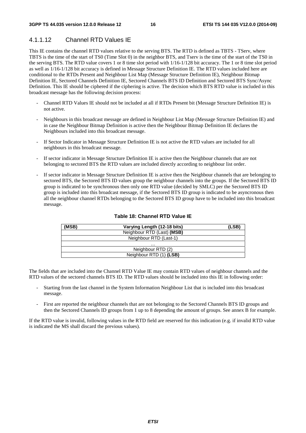### 4.1.1.12 Channel RTD Values IE

This IE contains the channel RTD values relative to the serving BTS. The RTD is defined as TBTS - TServ, where TBTS is the time of the start of TS0 (Time Slot 0) in the neighbor BTS, and Tserv is the time of the start of the TS0 in the serving BTS. The RTD value covers 1 or 8 time slot period with 1/16-1/128 bit accuracy. The 1 or 8 time slot period as well as 1/16-1/128 bit accuracy is defined in Message Structure Definition IE. The RTD values included here are conditional to the RTDs Present and Neighbour List Map (Message Structure Definition IE), Neighbour Bitmap Definition IE, Sectored Channels Definition IE, Sectored Channels BTS ID Definition and Sectored BTS Sync/Async Definition. This IE should be ciphered if the ciphering is active. The decision which BTS RTD value is included in this broadcast message has the following decision process:

- Channel RTD Values IE should not be included at all if RTDs Present bit (Message Structure Definition IE) is not active.
- Neighbours in this broadcast message are defined in Neighbour List Map (Message Structure Definition IE) and in case the Neighbour Bitmap Definition is active then the Neighbour Bitmap Definition IE declares the Neighbours included into this broadcast message.
- If Sector Indicator in Message Structure Definition IE is not active the RTD values are included for all neighbours in this broadcast message.
- If sector indicator in Message Structure Definition IE is active then the Neighbour channels that are not belonging to sectored BTS the RTD values are included directly according to neighbour list order.
- If sector indicator in Message Structure Definition IE is active then the Neighbour channels that are belonging to sectored BTS, the Sectored BTS ID values group the neighbour channels into the groups. If the Sectored BTS ID group is indicated to be synchronous then only one RTD value (decided by SMLC) per the Sectored BTS ID group is included into this broadcast message, if the Sectored BTS ID group is indicated to be asyncronous then all the neighbour channel RTDs belonging to the Sectored BTS ID group have to be included into this broadcast message.

| (MSB) | Varying Length (12-18 bits) | (LSB) |
|-------|-----------------------------|-------|
|       | Neighbour RTD (Last) (MSB)  |       |
|       | Neighbour RTD (Last-1)      |       |
|       | .                           |       |
|       | Neighbour RTD (2)           |       |
|       | Neighbour RTD (1) (LSB)     |       |

#### **Table 18: Channel RTD Value IE**

The fields that are included into the Channel RTD Value IE may contain RTD values of neighbour channels and the RTD values of the sectored channels BTS ID. The RTD values should be included into this IE in following order:

- Starting from the last channel in the System Information Neighbour List that is included into this broadcast message.
- First are reported the neighbour channels that are not belonging to the Sectored Channels BTS ID groups and then the Sectored Channels ID groups from 1 up to 8 depending the amount of groups. See annex B for example.

If the RTD value is invalid, following values in the RTD field are reserved for this indication (e.g. if invalid RTD value is indicated the MS shall discard the previous values).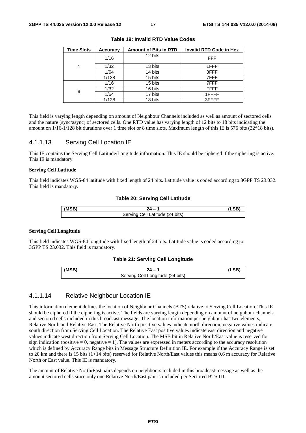| <b>Time Slots</b> | <b>Accuracy</b> | <b>Amount of Bits in RTD</b> | <b>Invalid RTD Code in Hex</b> |
|-------------------|-----------------|------------------------------|--------------------------------|
|                   | 1/16            | 12 bits                      | <b>FFF</b>                     |
| 1                 | 1/32            | 13 bits                      | 1FFF                           |
|                   | 1/64            | 14 bits                      | 3FFF                           |
|                   | 1/128           | 15 bits                      | 7FFF                           |
|                   | 1/16            | 15 bits                      | 7FFF                           |
| 8                 | 1/32            | 16 bits                      | <b>FFFF</b>                    |
|                   | 1/64            | 17 bits                      | 1FFFF                          |
|                   | 1/128           | 18 bits                      | 3FFFF                          |

**Table 19: Invalid RTD Value Codes** 

This field is varying length depending on amount of Neighbour Channels included as well as amount of sectored cells and the nature (sync/async) of sectored cells. One RTD value has varying length of 12 bits to 18 bits indicating the amount on 1/16-1/128 bit durations over 1 time slot or 8 time slots. Maximum length of this IE is 576 bits (32\*18 bits).

#### 4.1.1.13 Serving Cell Location IE

This IE contains the Serving Cell Latitude/Longitude information. This IE should be ciphered if the ciphering is active. This IE is mandatory.

#### **Serving Cell Latitude**

This field indicates WGS-84 latitude with fixed length of 24 bits. Latitude value is coded according to 3GPP TS 23.032. This field is mandatory.

#### **Table 20: Serving Cell Latitude**

| (MSB) |                                             |  |
|-------|---------------------------------------------|--|
|       | ' atitude (24 bits)<br>Servin<br>ell.<br>חו |  |

#### **Serving Cell Longitude**

This field indicates WGS-84 longitude with fixed length of 24 bits. Latitude value is coded according to 3GPP TS 23.032. This field is mandatory.

#### **Table 21: Serving Cell Longitude**

| (MSB) |                                                     |  |
|-------|-----------------------------------------------------|--|
|       | <sup>'t</sup> Longitude (24 bits)<br>∩מוות∩<br>اام: |  |

#### 4.1.1.14 Relative Neighbour Location IE

This information element defines the location of Neighbour Channels (BTS) relative to Serving Cell Location. This IE should be ciphered if the ciphering is active. The fields are varying length depending on amount of neighbour channels and sectored cells included in this broadcast message. The location information per neighbour has two elements, Relative North and Relative East. The Relative North positive values indicate north direction, negative values indicate south direction from Serving Cell Location. The Relative East positive values indicate east direction and negative values indicate west direction from Serving Cell Location. The MSB bit in Relative North/East value is reserved for sign indication (positive  $= 0$ , negative  $= 1$ ). The values are expressed in meters according to the accuracy resolution which is defined by Accuracy Range bits in Message Structure Definition IE. For example if the Accuracy Range is set to 20 km and there is 15 bits (1+14 bits) reserved for Relative North/East values this means 0.6 m accuracy for Relative North or East value. This IE is mandatory.

The amount of Relative North/East pairs depends on neighbours included in this broadcast message as well as the amount sectored cells since only one Relative North/East pair is included per Sectored BTS ID.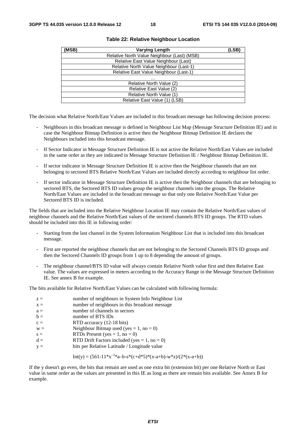| (MSB) | <b>Varying Length</b>                       | (LSB) |
|-------|---------------------------------------------|-------|
|       | Relative North Value Neighbour (Last) (MSB) |       |
|       | Relative East Value Neighbour (Last)        |       |
|       | Relative North Value Neighbour (Last-1)     |       |
|       | Relative East Value Neighbour (Last-1)      |       |
|       | .                                           |       |
|       | Relative North Value (2)                    |       |
|       | Relative East Value (2)                     |       |
|       | Relative North Value (1)                    |       |
|       | Relative East Value (1) (LSB)               |       |

#### **Table 22: Relative Neighbour Location**

The decision what Relative North/East Values are included in this broadcast message has following decision process:

- Neighbours in this broadcast message is defined in Neighbour List Map (Message Structure Definition IE) and in case the Neighbour Bitmap Definition is active then the Neighbour Bitmap Definition IE declares the Neighbours included into this broadcast message.
- If Sector Indicator in Message Structure Definition IE is not active the Relative North/East Values are included in the same order as they are indicated in Message Structure Definition IE / Neighbour Bitmap Definition IE.
- If sector indicator in Message Structure Definition IE is active then the Neighbour channels that are not belonging to sectored BTS Relative North/East Values are included directly according to neighbour list order.
- If sector indicator in Message Structure Definition IE is active then the Neighbour channels that are belonging to sectored BTS, the Sectored BTS ID values group the neighbour channels into the groups. The Relative North/East Values are included in the broadcast message so that only one Relative North/East Value per Sectored BTS ID is included.

The fields that are included into the Relative Neighbour Location IE may contain the Relative North/East values of neighbour channels and the Relative North/East values of the sectored channels BTS ID groups. The RTD values should be included into this IE in following order:

- Starting from the last channel in the System Information Neighbour List that is included into this broadcast message.
- First are reported the neighbour channels that are not belonging to the Sectored Channels BTS ID groups and then the Sectored Channels ID groups from 1 up to 8 depending the amount of groups.
- The neighbour channel/BTS ID value will always contain Relative North value first and then Relative East value. The values are expressed in meters according to the Accuracy Range in the Message Structure Definition IE. See annex B for example.

The bits available for Relative North/East Values can be calculated with following formula:

| $z =$ | number of neighbours in System Info Neighbour List |
|-------|----------------------------------------------------|
| $X =$ | number of neighbours in this broadcast message     |
| $a =$ | number of channels in sectors                      |
| $b =$ | number of BTS IDs                                  |
| $c =$ | RTD accuracy (12-18 bits)                          |
| $W =$ | Neighbour Bitmap used (yes = 1, no = 0)            |
| $s =$ | RTDs Present (yes = 1, no = 0)                     |
| $d =$ | RTD Drift Factors included (yes = $1$ , no = 0)    |
| $y =$ | bits per Relative Latitude / Longitude value       |
|       |                                                    |

Int(y) = 
$$
(561-11*x^{-3}a-b-s*(c+d*5)*(x-a+b)-w*z)/(2*(x-a+b))
$$

If the y doesn't go even, the bits that remain are used as one extra bit (extension bit) per one Relative North or East value in same order as the values are presented in this IE as long as there are remain bits available. See Annex B for example.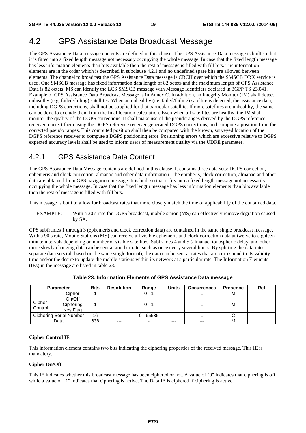### 4.2 GPS Assistance Data Broadcast Message

The GPS Assistance Data message contents are defined in this clause. The GPS Assistance Data message is built so that it is fitted into a fixed length message not necessary occupying the whole message. In case that the fixed length message has less information elements than bits available then the rest of message is filled with fill bits. The information elements are in the order which is described in subclause 4.2.1 and no undefined spare bits are allowed between elements. The channel to broadcast the GPS Assistance Data message is CBCH over which the SMSCB DRX service is used. One SMSCB message has fixed information data length of 82 octets and the maximum length of GPS Assistance Data is 82 octets. MS can identify the LCS SMSCB message with Message Identifiers declared in 3GPP TS 23.041. Example of GPS Assistance Data Broadcast Message is in Annex C. In addition, an Integrity Monitor (IM) shall detect unhealthy (e.g. failed/failing) satellites. When an unhealthy (i.e. failed/failing) satellite is detected, the assistance data, including DGPS corrections, shall not be supplied for that particular satellite. If more satellites are unhealthy, the same can be done to exclude them from the final location calculation. Even when all satellites are healthy, the IM shall monitor the quality of the DGPS corrections. It shall make use of the pseudoranges derived by the DGPS reference receiver, correct them using the DGPS reference receiver-generated DGPS corrections, and compute a position from the corrected pseudo ranges. This computed position shall then be compared with the known, surveyed location of the DGPS reference receiver to compute a DGPS positioning error. Positioning errors which are excessive relative to DGPS expected accuracy levels shall be used to inform users of measurement quality via the UDRE parameter.

### 4.2.1 GPS Assistance Data Content

The GPS Assistance Data Message contents are defined in this clause. It contains three data sets: DGPS correction, ephemeris and clock correction, almanac and other data information. The empheris, clock correction, almanac and other data are obtained from GPS navigation message. It is built so that it fits into a fixed length message not necessarily occupying the whole message. In case that the fixed length message has less information elements than bits available then the rest of message is filled with fill bits.

This message is built to allow for broadcast rates that more closely match the time of applicability of the contained data.

EXAMPLE: With a 30 s rate for DGPS broadcast, mobile staion (MS) can effectively remove degration caused by SA.

GPS subframes 1 through 3 (ephemeris and clock correction data) are contained in the same single broadcast message. With a 90 s rate, Mobile Stations (MS) can receive all visible ephemeris and clock correction data at twelve to eighteen minute intervals depending on number of visible satellites. Subframes 4 and 5 (almanac, ionospheric delay, and other more slowly changing data can be sent at another rate, such as once every several hours. By splitting the data into separate data sets (all based on the same single format), the data can be sent at rates that are correspond to its validity time and/or the desire to update the mobile stations within its network at a particular rate. The Information Elements (IEs) in the message are listed in table 23.

|         | <b>Parameter</b>               | <b>Bits</b> | <b>Resolution</b> | Range        | <b>Units</b> | <b>Occurrences</b> | <b>Presence</b> | Ref |
|---------|--------------------------------|-------------|-------------------|--------------|--------------|--------------------|-----------------|-----|
|         | Cipher                         |             | $---$             | $0 - 1$      | $---$        |                    | М               |     |
|         | On/Off                         |             |                   |              |              |                    |                 |     |
| Cipher  | Ciphering                      |             | $---$             | $0 - 1$      | $---$        |                    | м               |     |
| Control | Key Flag                       |             |                   |              |              |                    |                 |     |
|         | <b>Ciphering Serial Number</b> | 16          | $--$              | - 65535<br>0 | $---$        |                    |                 |     |
|         | Data                           | 638         | $---$             | -            | $---$        | $---$              | M               |     |

**Table 23: Information Elements of GPS Assistance Data message** 

#### **Cipher Control IE**

This information element contains two bits indicating the ciphering properties of the received message. This IE is mandatory.

#### **Cipher On/Off**

This IE indicates whether this broadcast message has been ciphered or not. A value of "0" indicates that ciphering is off, while a value of "1" indicates that ciphering is active. The Data IE is ciphered if ciphering is active.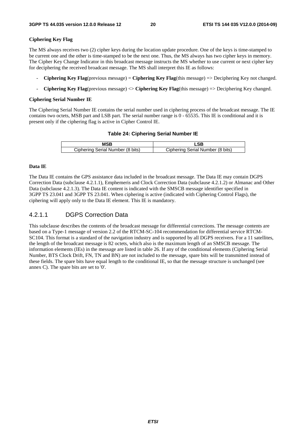#### **Ciphering Key Flag**

The MS always receives two (2) cipher keys during the location update procedure. One of the keys is time-stamped to be current one and the other is time-stamped to be the next one. Thus, the MS always has two cipher keys in memory. The Cipher Key Change Indicator in this broadcast message instructs the MS whether to use current or next cipher key for deciphering the received broadcast message. The MS shall interpret this IE as follows:

- **Ciphering Key Flag**(previous message) = **Ciphering Key Flag**(this message) => Deciphering Key not changed.
- **Ciphering Key Flag**(previous message) <> **Ciphering Key Flag**(this message) => Deciphering Key changed.

#### **Ciphering Serial Number IE**

The Ciphering Serial Number IE contains the serial number used in ciphering process of the broadcast message. The IE contains two octets, MSB part and LSB part. The serial number range is 0 - 65535. This IE is conditional and it is present only if the ciphering flag is active in Cipher Control IE.

#### **Table 24: Ciphering Serial Number IE**

| Ciphering Serial Number (8 bits) | Ciphering Serial Number (8 bits) |
|----------------------------------|----------------------------------|

#### **Data IE**

The Data IE contains the GPS assistance data included in the broadcast message. The Data IE may contain DGPS Correction Data (subclause 4.2.1.1), Emphemeris and Clock Correction Data (subclause 4.2.1.2) or Almanac and Other Data (subclause 4.2.1.3). The Data IE content is indicated with the SMSCB message identifier specified in 3GPP TS 23.041 and 3GPP TS 23.041. When ciphering is active (indicated with Ciphering Control Flags), the ciphering will apply only to the Data IE element. This IE is mandatory.

#### 4.2.1.1 DGPS Correction Data

This subclause describes the contents of the broadcast message for differential corrections. The message contents are based on a Type-1 message of version 2.2 of the RTCM-SC-104 recommendation for differential service RTCM-SC104. This format is a standard of the navigation industry and is supported by all DGPS receivers. For a 11 satellites, the length of the broadcast message is 82 octets, which also is the maximum length of an SMSCB message. The information elements (IEs) in the message are listed in table 26. If any of the conditional elements (Ciphering Serial Number, BTS Clock Drift, FN, TN and BN) are not included to the message, spare bits will be transmitted instead of these fields. The spare bits have equal length to the conditional IE, so that the message structure is unchanged (see annex C). The spare bits are set to '0'.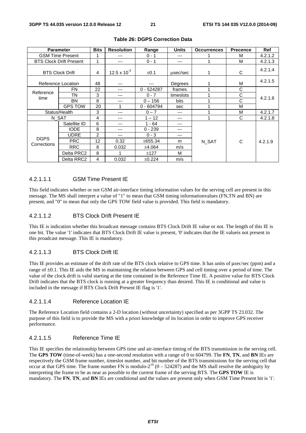|                            | <b>Parameter</b>               | <b>Bits</b> | <b>Resolution</b>     | Range        | <b>Units</b> | <b>Occurrences</b> | <b>Precence</b> | <b>Ref</b> |
|----------------------------|--------------------------------|-------------|-----------------------|--------------|--------------|--------------------|-----------------|------------|
|                            | <b>GSM Time Present</b>        |             | ---                   | $0 - 1$      | ---          |                    | M               | 4.2.1.2    |
|                            | <b>BTS Clock Drift Present</b> | 1           | ---                   | $0 - 1$      | ---          |                    | м               | 4.2.1.3    |
|                            | <b>BTS Clock Drift</b>         | 4           | $12.5 \times 10^{-3}$ | ±0.1         | usec/sec     |                    | C               | 4.2.1.4    |
|                            | Reference Location             | 48          | $--$                  | ---          | Degrees      |                    | M               | 4.2.1.5    |
| Reference                  | <b>FN</b>                      | 22          | ---                   | $0 - 524287$ | frames       |                    | C               |            |
| time                       | TN                             | 3           | $- - -$               | $0 - 7$      | timeslots    |                    | С               | 4.2.1.6    |
|                            | <b>BN</b>                      | 8           | $- - -$               | $0 - 156$    | bits         |                    | C               |            |
|                            | <b>GPS TOW</b>                 | 20          | 1                     | $0 - 604794$ | sec          |                    | М               |            |
|                            | Status/Health                  | 3           | ---                   | $0 - 7$      | ---          |                    | м               | 4.2.1.7    |
|                            | N SAT                          | 4           | $- - -$               | $1 - 12$     | ---          |                    | C               | 4.2.1.8    |
|                            | Satellite ID                   | 6           | $- - -$               | $1 - 64$     | ---          |                    |                 |            |
|                            | <b>IODE</b>                    | 8           | ---                   | $0 - 239$    | ---          |                    |                 |            |
|                            | <b>UDRE</b>                    | 2           | ---                   | $0 - 3$      | ---          |                    |                 |            |
| <b>DGPS</b><br>Corrections | <b>PRC</b>                     | 12          | 0.32                  | ±655.34      | m            | N SAT              | C               | 4.2.1.9    |
|                            | <b>RRC</b>                     | 8           | 0.032                 | ±4.064       | m/s          |                    |                 |            |
|                            | Delta PRC2                     | 8           |                       | ±127         | м            |                    |                 |            |
|                            | Delta RRC2                     | 4           | 0.032                 | ±0.224       | m/s          |                    |                 |            |

#### **Table 26: DGPS Correction Data**

#### 4.2.1.1.1 GSM Time Present IE

This field indicates whether or not GSM air-interface timing information values for the serving cell are present in this message. The MS shall interpret a value of "1" to mean that GSM timing informationvalues (FN,TN and BN) are present, and "0" to mean that only the GPS TOW field value is provided. This field is mandatory.

#### 4.2.1.1.2 BTS Clock Drift Present IE

This IE is indication whether this broadcast message contains BTS Clock Drift IE value or not. The length of this IE is one bit. The value '1' indicates that BTS Clock Drift IE value is present, '0' indicates that the IE valueis not present in this proadcast message. This IE is mandatory.

#### 4.2.1.1.3 BTS Clock Drift IE

This IE provides an estimate of the drift rate of the BTS clock relative to GPS time. It has units of μsec/sec (ppm) and a range of ±0.1. This IE aids the MS in maintaining the relation between GPS and cell timing over a period of time. The value of the clock drift is valid starting at the time contained in the Reference Time IE. A positive value for BTS Clock Drift indicates that the BTS clock is running at a greater frequency than desired. This IE is conditional and value is included in the message if BTS Clock Drift Present IE flag is '1'.

#### 4.2.1.1.4 Reference Location IE

The Reference Location field contains a 2-D location (without uncertainty) specified as per 3GPP TS 23.032. The purpose of this field is to provide the MS with a priori knowledge of its location in order to improve GPS receiver performance.

#### 4.2.1.1.5 Reference Time IE

This IE specifies the relationship between GPS time and air-interface timing of the BTS transmission in the serving cell. The **GPS TOW** (time-of-week) has a one-second resolution with a range of 0 to 604799. The **FN**, **TN**, and **BN** IEs are respectively the GSM frame number, timeslot number, and bit number of the BTS transmissions for the serving cell that occur at that GPS time. The frame number FN is modulo- $2^{19}$  (0 – 524287) and the MS shall resolve the ambiguity by interpreting the frame to be as near as possible to the current frame of the serving BTS. The **GPS TOW** IE is mandatory. The **FN**, **TN**, and **BN** IEs are conditional and the values are present only when GSM Time Present bit is '1'.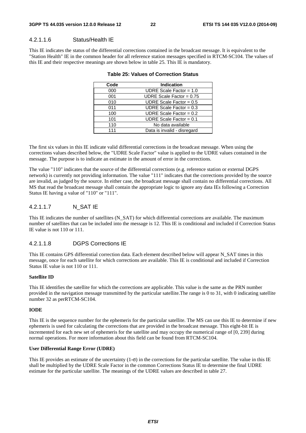#### 4.2.1.1.6 Status/Health IE

This IE indicates the status of the differential corrections contained in the broadcast message. It is equivalent to the "Station Health" IE in the common header for all reference station messages specified in RTCM-SC104. The values of this IE and their respective meanings are shown below in table 25. This IE is mandatory.

| Code | <b>Indication</b>           |
|------|-----------------------------|
| 000  | UDRE Scale Factor = $1.0$   |
| 001  | UDRE Scale Factor = $0.75$  |
| 010  | UDRE Scale Factor = $0.5$   |
| 011  | UDRE Scale Factor = $0.3$   |
| 100  | UDRE Scale Factor = $0.2$   |
| 101  | UDRE Scale Factor = $0.1$   |
| 110  | No data available           |
| 111  | Data is invalid - disregard |
|      |                             |

#### **Table 25: Values of Correction Status**

The first six values in this IE indicate valid differential corrections in the broadcast message. When using the corrections values described below, the "UDRE Scale Factor" value is applied to the UDRE values contained in the message. The purpose is to indicate an estimate in the amount of error in the corrections.

The value "110" indicates that the source of the differential corrections (e.g. reference station or external DGPS network) is currently not providing information. The value "111" indicates that the corrections provided by the source are invalid, as judged by the source. In either case, the broadcast message shall contain no differential corrections. All MS that read the broadcast message shall contain the appropriate logic to ignore any data IEs following a Correction Status IE having a value of "110" or "111".

#### 4.2.1.1.7 N\_SAT IE

This IE indicates the number of satellites (N\_SAT) for which differential corrections are available. The maximum number of satellites that can be included into the message is 12. This IE is conditional and included if Correction Status IE value is not 110 or 111.

#### 4.2.1.1.8 DGPS Corrections IE

This IE contains GPS differential correction data. Each element described below will appear N\_SAT times in this message, once for each satellite for which corrections are available. This IE is conditional and included if Correction Status IE value is not 110 or 111.

#### **Satellite ID**

This IE identifies the satellite for which the corrections are applicable. This value is the same as the PRN number provided in the navigation message transmitted by the particular satellite.The range is 0 to 31, with 0 indicating satellite number 32 as perRTCM-SC104.

#### **IODE**

This IE is the sequence number for the ephemeris for the particular satellite. The MS can use this IE to determine if new ephemeris is used for calculating the corrections that are provided in the broadcast message. This eight-bit IE is incremented for each new set of ephemeris for the satellite and may occupy the numerical range of [0, 239] during normal operations. For more information about this field can be found from RTCM-SC104.

#### **User Differential Range Error (UDRE)**

This IE provides an estimate of the uncertainty  $(1-\sigma)$  in the corrections for the particular satellite. The value in this IE shall be multiplied by the UDRE Scale Factor in the common Corrections Status IE to determine the final UDRE estimate for the particular satellite. The meanings of the UDRE values are described in table 27.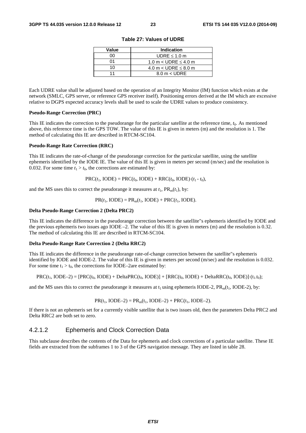| Value | <b>Indication</b>             |  |  |
|-------|-------------------------------|--|--|
| n۵    | UDRE $\leq 1.0$ m             |  |  |
| ሰ1    | 1.0 m $<$ UDRE $\leq$ 4.0 m   |  |  |
| 10    | 4.0 m < UDRE $\leq$ 8.0 m     |  |  |
|       | $8.0 \text{ m} < \text{UDRE}$ |  |  |

**Table 27: Values of UDRE** 

Each UDRE value shall be adjusted based on the operation of an Integrity Monitor (IM) function which exists at the network (SMLC, GPS server, or reference GPS receiver itself). Positioning errors derived at the IM which are excessive relative to DGPS expected accuracy levels shall be used to scale the UDRE values to produce consistency.

#### **Pseudo-Range Correction (PRC)**

This IE indicates the correction to the pseudorange for the particular satellite at the reference time, *t*0. As mentioned above, this reference time is the GPS TOW. The value of this IE is given in meters (m) and the resolution is 1. The method of calculating this IE are described in RTCM-SC104.

#### **Pseudo-Range Rate Correction (RRC)**

This IE indicates the rate-of-change of the pseudorange correction for the particular satellite, using the satellite ephemeris identified by the IODE IE. The value of this IE is given in meters per second (m/sec) and the resolution is 0.032. For some time  $t_1 > t_0$ , the corrections are estimated by:

 $PRC(t_1, IODE) = PRC(t_0, IODE) + RRC(t_0, IODE) \cdot (t_1 - t_0),$ 

and the MS uses this to correct the pseudorange it measures at  $t_1$ ,  $PR_m(t_1)$ , by:

 $PR(t_1, \text{IODE}) = PR_m(t_1, \text{IODE}) + PRC(t_1, \text{IODE}).$ 

#### **Delta Pseudo-Range Correction 2 (Delta PRC2)**

This IE indicates the difference in the pseudorange correction between the satellite"s ephemeris identified by IODE and the previous ephemeris two issues ago IODE –2. The value of this IE is given in meters (m) and the resolution is 0.32. The method of calculating this IE are described in RTCM-SC104.

#### **Delta Pseudo-Range Rate Correction 2 (Delta RRC2)**

This IE indicates the difference in the pseudorange rate-of-change correction between the satellite"s ephemeris identified by IODE and IODE-2. The value of this IE is given in meters per second (m/sec) and the resolution is 0.032. For some time  $t_1 > t_0$ , the corrections for IODE–2are estimated by:

$$
PRC(t_1, \text{IODE-2}) = [PRC(t_0, \text{IODE}) + \text{Delta}PRC(t_0, \text{IODE})] + [RRC(t_0, \text{IODE}) + \text{Delta}RRC(t_0, \text{IODE}) + (t_1, t_0);
$$

and the MS uses this to correct the pseudorange it measures at  $t_1$  using ephemeris IODE-2,  $PR_m(t_1, IODE-2)$ , by:

$$
PR(t_1, IODE-2) = PR_m(t_1, IODE-2) + PRC(t_1, IODE-2).
$$

If there is not an ephemeris set for a currently visible satellite that is two issues old, then the parameters Delta PRC2 and Delta RRC2 are both set to zero.

#### 4.2.1.2 Ephemeris and Clock Correction Data

This subclause describes the contents of the Data for ephemeris and clock corrections of a particular satellite. These IE fields are extracted from the subframes 1 to 3 of the GPS navigation message. They are listed in table 28.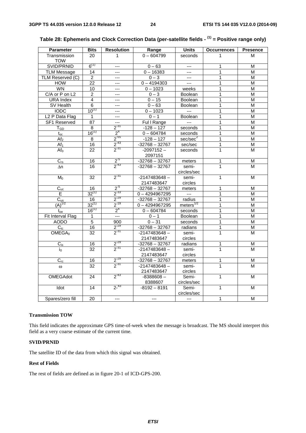| $0 - 604799$<br>Transmission<br>20<br>1<br>seconds<br>1<br>м<br><b>TOW</b><br>$6^{(1)}$<br>SVID/PRNID<br>$0 - 63$<br>1<br>M<br>$\overline{a}$<br>$---$<br>1<br><b>TLM Message</b><br>14<br>$0 - 16383$<br>M<br>$\overline{a}$<br>$---$<br>TLM Reserved (C)<br>$\overline{c}$<br>$0 - 3$<br>M<br>1<br>$---$<br>$---$<br><b>HOW</b><br>$\overline{22}$<br>$0 - 4194303$<br>$\overline{a}$<br>1<br>M<br>$- - -$<br>WN<br>10<br>$0 - 1023$<br>1<br>М<br>weeks<br>$---$<br>C/A or P on L2<br>$\overline{2}$<br>1<br>$0 - 3$<br>Boolean<br>М<br>---<br><b>URA</b> Index<br>4<br>$0 - 15$<br>1<br>M<br><b>Boolean</b><br>$---$<br>SV Health<br>6<br>$0 - 63$<br>Boolean<br>1<br>м<br>---<br>$10^{(1)}$<br>1<br><b>IODC</b><br>$0 - 1023$<br>$\sim$<br>M<br>$---$<br>$0 - 1$<br>L <sub>2</sub> P Data Flag<br>1<br>$\overline{a}$<br>Boolean<br>M<br>1<br><b>SF1 Reserved</b><br>87<br>Ful I Range<br>1<br>М<br>$\overline{a}$<br>$2^{-31}$<br>$-128 - 127$<br>8<br>1<br>M<br>$T_{GD}$<br>seconds<br>$16^{(1)}$<br>2 <sup>4</sup><br>$0 - 604784$<br>1<br>М<br>seconds<br>$t_{oc}$<br>$2^{-55}$<br>sec/sec <sup>2</sup><br>$-128 - 127$<br>1<br>Af <sub>2</sub><br>8<br>M<br>$2^{-43}$<br>16<br>$\overline{Af_1}$<br>$-32768 - 32767$<br>1<br>M<br>sec/sec<br>$2^{31}$<br>$\mathbf{1}$<br>22<br>$-2097152 -$<br>Af <sub>0</sub><br>seconds<br>М<br>2097151<br>$2^{5}$<br>$C_{rs}$<br>$-32768 - 32767$<br>16<br>meters<br>1<br>М<br>$2^{-43}$<br>16<br>$-32768 - 32767$<br>$\mathbf{1}$<br>semi-<br>М<br>$\Delta n$<br>circles/sec<br>$2^{31}$<br>$M_0$<br>32<br>$-2147483648 -$<br>1<br>semi-<br>М<br>2147483647<br>circles<br>$2^{5}$<br>$-32768 - 32767$<br>$C_{uc}$<br>16<br>meters<br>1<br>M<br>$2^{-33}$<br>$32^{(1)}$<br>$0 - 4294967295$<br>$\sim$<br>1<br>M<br>Е<br>$2^{-29}$<br>$C_{us}$<br>$-32768 - 32767$<br>16<br>1<br>M<br>radius<br>$(A)^{1/2}$<br>$2^{-19}$<br>$32^{(1)}$<br>meters $^{1/2}$<br>1<br>$0 - 4294967295$<br>M<br>$16^{(1)}$<br>2 <sup>4</sup><br>$0 - 604784$<br>1<br>M<br>seconds<br>$t_{oe}$<br>Fit Interval Flag<br>$0 - 1$<br>1<br>1<br>$\overline{a}$<br><b>Boolean</b><br>М<br>$\overline{5}$<br><b>AODO</b><br>900<br>$0 - 31$<br>1<br>seconds<br>М<br>$2^{-29}$<br>16<br>$\mathbf{1}$<br>$\overline{C_{ic}}$<br>$-32768 - 32767$<br>M<br>radians<br>$2^{-31}$<br>$\mathbf{1}$<br>OMEGA <sub>0</sub><br>$\overline{32}$<br>$-2147483648 -$<br>semi-<br>M<br>2147483647<br>circles<br>$2^{-29}$<br>$-32768 - 32767$<br>radians<br>$C_{is}$<br>16<br>1<br>M<br>$2^{-31}$<br>$\mathbf{1}$<br>$\overline{32}$<br>$-2147483648 -$<br>M<br>semi-<br>$i_{0}$<br>2147483647<br>circles<br>$2^{-29}$<br>$C_{rc}$<br>$-32768 - 32767$<br>1<br>16<br>м<br>meters<br>$2^{-31}$<br>$\overline{32}$<br>$\mathbf{1}$<br>$-2147483648 -$<br>semi-<br>М<br>$\omega$<br>2147483647<br>circles<br>$2^{-43}$<br><b>OMEGAdot</b><br>$\overline{24}$<br>$-8388608-$<br>1<br>Semi-<br>M<br>8388607<br>circles/sec<br>$2^{-43}$<br>1<br>Idot<br>14<br>$-8192 - 8191$<br>M<br>Semi-<br>circles/sec<br>$\mathbf{1}$<br>$\scriptstyle \cdots$<br>$---$<br>$---$ | <b>Parameter</b> | <b>Bits</b> | <b>Resolution</b> | Range | <b>Units</b> | <b>Occurrences</b> | <b>Presence</b> |
|------------------------------------------------------------------------------------------------------------------------------------------------------------------------------------------------------------------------------------------------------------------------------------------------------------------------------------------------------------------------------------------------------------------------------------------------------------------------------------------------------------------------------------------------------------------------------------------------------------------------------------------------------------------------------------------------------------------------------------------------------------------------------------------------------------------------------------------------------------------------------------------------------------------------------------------------------------------------------------------------------------------------------------------------------------------------------------------------------------------------------------------------------------------------------------------------------------------------------------------------------------------------------------------------------------------------------------------------------------------------------------------------------------------------------------------------------------------------------------------------------------------------------------------------------------------------------------------------------------------------------------------------------------------------------------------------------------------------------------------------------------------------------------------------------------------------------------------------------------------------------------------------------------------------------------------------------------------------------------------------------------------------------------------------------------------------------------------------------------------------------------------------------------------------------------------------------------------------------------------------------------------------------------------------------------------------------------------------------------------------------------------------------------------------------------------------------------------------------------------------------------------------------------------------------------------------------------------------------------------------------------------------------------------------------------------------------------------------------------------------------------------------------------------------------------------------------------------------------------------------------------------------------------------------------------------------------------------------------------------------------------------------------------------------------------------|------------------|-------------|-------------------|-------|--------------|--------------------|-----------------|
|                                                                                                                                                                                                                                                                                                                                                                                                                                                                                                                                                                                                                                                                                                                                                                                                                                                                                                                                                                                                                                                                                                                                                                                                                                                                                                                                                                                                                                                                                                                                                                                                                                                                                                                                                                                                                                                                                                                                                                                                                                                                                                                                                                                                                                                                                                                                                                                                                                                                                                                                                                                                                                                                                                                                                                                                                                                                                                                                                                                                                                                                  |                  |             |                   |       |              |                    |                 |
|                                                                                                                                                                                                                                                                                                                                                                                                                                                                                                                                                                                                                                                                                                                                                                                                                                                                                                                                                                                                                                                                                                                                                                                                                                                                                                                                                                                                                                                                                                                                                                                                                                                                                                                                                                                                                                                                                                                                                                                                                                                                                                                                                                                                                                                                                                                                                                                                                                                                                                                                                                                                                                                                                                                                                                                                                                                                                                                                                                                                                                                                  |                  |             |                   |       |              |                    |                 |
|                                                                                                                                                                                                                                                                                                                                                                                                                                                                                                                                                                                                                                                                                                                                                                                                                                                                                                                                                                                                                                                                                                                                                                                                                                                                                                                                                                                                                                                                                                                                                                                                                                                                                                                                                                                                                                                                                                                                                                                                                                                                                                                                                                                                                                                                                                                                                                                                                                                                                                                                                                                                                                                                                                                                                                                                                                                                                                                                                                                                                                                                  |                  |             |                   |       |              |                    |                 |
|                                                                                                                                                                                                                                                                                                                                                                                                                                                                                                                                                                                                                                                                                                                                                                                                                                                                                                                                                                                                                                                                                                                                                                                                                                                                                                                                                                                                                                                                                                                                                                                                                                                                                                                                                                                                                                                                                                                                                                                                                                                                                                                                                                                                                                                                                                                                                                                                                                                                                                                                                                                                                                                                                                                                                                                                                                                                                                                                                                                                                                                                  |                  |             |                   |       |              |                    |                 |
|                                                                                                                                                                                                                                                                                                                                                                                                                                                                                                                                                                                                                                                                                                                                                                                                                                                                                                                                                                                                                                                                                                                                                                                                                                                                                                                                                                                                                                                                                                                                                                                                                                                                                                                                                                                                                                                                                                                                                                                                                                                                                                                                                                                                                                                                                                                                                                                                                                                                                                                                                                                                                                                                                                                                                                                                                                                                                                                                                                                                                                                                  |                  |             |                   |       |              |                    |                 |
|                                                                                                                                                                                                                                                                                                                                                                                                                                                                                                                                                                                                                                                                                                                                                                                                                                                                                                                                                                                                                                                                                                                                                                                                                                                                                                                                                                                                                                                                                                                                                                                                                                                                                                                                                                                                                                                                                                                                                                                                                                                                                                                                                                                                                                                                                                                                                                                                                                                                                                                                                                                                                                                                                                                                                                                                                                                                                                                                                                                                                                                                  |                  |             |                   |       |              |                    |                 |
|                                                                                                                                                                                                                                                                                                                                                                                                                                                                                                                                                                                                                                                                                                                                                                                                                                                                                                                                                                                                                                                                                                                                                                                                                                                                                                                                                                                                                                                                                                                                                                                                                                                                                                                                                                                                                                                                                                                                                                                                                                                                                                                                                                                                                                                                                                                                                                                                                                                                                                                                                                                                                                                                                                                                                                                                                                                                                                                                                                                                                                                                  |                  |             |                   |       |              |                    |                 |
|                                                                                                                                                                                                                                                                                                                                                                                                                                                                                                                                                                                                                                                                                                                                                                                                                                                                                                                                                                                                                                                                                                                                                                                                                                                                                                                                                                                                                                                                                                                                                                                                                                                                                                                                                                                                                                                                                                                                                                                                                                                                                                                                                                                                                                                                                                                                                                                                                                                                                                                                                                                                                                                                                                                                                                                                                                                                                                                                                                                                                                                                  |                  |             |                   |       |              |                    |                 |
|                                                                                                                                                                                                                                                                                                                                                                                                                                                                                                                                                                                                                                                                                                                                                                                                                                                                                                                                                                                                                                                                                                                                                                                                                                                                                                                                                                                                                                                                                                                                                                                                                                                                                                                                                                                                                                                                                                                                                                                                                                                                                                                                                                                                                                                                                                                                                                                                                                                                                                                                                                                                                                                                                                                                                                                                                                                                                                                                                                                                                                                                  |                  |             |                   |       |              |                    |                 |
|                                                                                                                                                                                                                                                                                                                                                                                                                                                                                                                                                                                                                                                                                                                                                                                                                                                                                                                                                                                                                                                                                                                                                                                                                                                                                                                                                                                                                                                                                                                                                                                                                                                                                                                                                                                                                                                                                                                                                                                                                                                                                                                                                                                                                                                                                                                                                                                                                                                                                                                                                                                                                                                                                                                                                                                                                                                                                                                                                                                                                                                                  |                  |             |                   |       |              |                    |                 |
|                                                                                                                                                                                                                                                                                                                                                                                                                                                                                                                                                                                                                                                                                                                                                                                                                                                                                                                                                                                                                                                                                                                                                                                                                                                                                                                                                                                                                                                                                                                                                                                                                                                                                                                                                                                                                                                                                                                                                                                                                                                                                                                                                                                                                                                                                                                                                                                                                                                                                                                                                                                                                                                                                                                                                                                                                                                                                                                                                                                                                                                                  |                  |             |                   |       |              |                    |                 |
|                                                                                                                                                                                                                                                                                                                                                                                                                                                                                                                                                                                                                                                                                                                                                                                                                                                                                                                                                                                                                                                                                                                                                                                                                                                                                                                                                                                                                                                                                                                                                                                                                                                                                                                                                                                                                                                                                                                                                                                                                                                                                                                                                                                                                                                                                                                                                                                                                                                                                                                                                                                                                                                                                                                                                                                                                                                                                                                                                                                                                                                                  |                  |             |                   |       |              |                    |                 |
|                                                                                                                                                                                                                                                                                                                                                                                                                                                                                                                                                                                                                                                                                                                                                                                                                                                                                                                                                                                                                                                                                                                                                                                                                                                                                                                                                                                                                                                                                                                                                                                                                                                                                                                                                                                                                                                                                                                                                                                                                                                                                                                                                                                                                                                                                                                                                                                                                                                                                                                                                                                                                                                                                                                                                                                                                                                                                                                                                                                                                                                                  |                  |             |                   |       |              |                    |                 |
|                                                                                                                                                                                                                                                                                                                                                                                                                                                                                                                                                                                                                                                                                                                                                                                                                                                                                                                                                                                                                                                                                                                                                                                                                                                                                                                                                                                                                                                                                                                                                                                                                                                                                                                                                                                                                                                                                                                                                                                                                                                                                                                                                                                                                                                                                                                                                                                                                                                                                                                                                                                                                                                                                                                                                                                                                                                                                                                                                                                                                                                                  |                  |             |                   |       |              |                    |                 |
|                                                                                                                                                                                                                                                                                                                                                                                                                                                                                                                                                                                                                                                                                                                                                                                                                                                                                                                                                                                                                                                                                                                                                                                                                                                                                                                                                                                                                                                                                                                                                                                                                                                                                                                                                                                                                                                                                                                                                                                                                                                                                                                                                                                                                                                                                                                                                                                                                                                                                                                                                                                                                                                                                                                                                                                                                                                                                                                                                                                                                                                                  |                  |             |                   |       |              |                    |                 |
|                                                                                                                                                                                                                                                                                                                                                                                                                                                                                                                                                                                                                                                                                                                                                                                                                                                                                                                                                                                                                                                                                                                                                                                                                                                                                                                                                                                                                                                                                                                                                                                                                                                                                                                                                                                                                                                                                                                                                                                                                                                                                                                                                                                                                                                                                                                                                                                                                                                                                                                                                                                                                                                                                                                                                                                                                                                                                                                                                                                                                                                                  |                  |             |                   |       |              |                    |                 |
|                                                                                                                                                                                                                                                                                                                                                                                                                                                                                                                                                                                                                                                                                                                                                                                                                                                                                                                                                                                                                                                                                                                                                                                                                                                                                                                                                                                                                                                                                                                                                                                                                                                                                                                                                                                                                                                                                                                                                                                                                                                                                                                                                                                                                                                                                                                                                                                                                                                                                                                                                                                                                                                                                                                                                                                                                                                                                                                                                                                                                                                                  |                  |             |                   |       |              |                    |                 |
|                                                                                                                                                                                                                                                                                                                                                                                                                                                                                                                                                                                                                                                                                                                                                                                                                                                                                                                                                                                                                                                                                                                                                                                                                                                                                                                                                                                                                                                                                                                                                                                                                                                                                                                                                                                                                                                                                                                                                                                                                                                                                                                                                                                                                                                                                                                                                                                                                                                                                                                                                                                                                                                                                                                                                                                                                                                                                                                                                                                                                                                                  |                  |             |                   |       |              |                    |                 |
|                                                                                                                                                                                                                                                                                                                                                                                                                                                                                                                                                                                                                                                                                                                                                                                                                                                                                                                                                                                                                                                                                                                                                                                                                                                                                                                                                                                                                                                                                                                                                                                                                                                                                                                                                                                                                                                                                                                                                                                                                                                                                                                                                                                                                                                                                                                                                                                                                                                                                                                                                                                                                                                                                                                                                                                                                                                                                                                                                                                                                                                                  |                  |             |                   |       |              |                    |                 |
|                                                                                                                                                                                                                                                                                                                                                                                                                                                                                                                                                                                                                                                                                                                                                                                                                                                                                                                                                                                                                                                                                                                                                                                                                                                                                                                                                                                                                                                                                                                                                                                                                                                                                                                                                                                                                                                                                                                                                                                                                                                                                                                                                                                                                                                                                                                                                                                                                                                                                                                                                                                                                                                                                                                                                                                                                                                                                                                                                                                                                                                                  |                  |             |                   |       |              |                    |                 |
|                                                                                                                                                                                                                                                                                                                                                                                                                                                                                                                                                                                                                                                                                                                                                                                                                                                                                                                                                                                                                                                                                                                                                                                                                                                                                                                                                                                                                                                                                                                                                                                                                                                                                                                                                                                                                                                                                                                                                                                                                                                                                                                                                                                                                                                                                                                                                                                                                                                                                                                                                                                                                                                                                                                                                                                                                                                                                                                                                                                                                                                                  |                  |             |                   |       |              |                    |                 |
|                                                                                                                                                                                                                                                                                                                                                                                                                                                                                                                                                                                                                                                                                                                                                                                                                                                                                                                                                                                                                                                                                                                                                                                                                                                                                                                                                                                                                                                                                                                                                                                                                                                                                                                                                                                                                                                                                                                                                                                                                                                                                                                                                                                                                                                                                                                                                                                                                                                                                                                                                                                                                                                                                                                                                                                                                                                                                                                                                                                                                                                                  |                  |             |                   |       |              |                    |                 |
|                                                                                                                                                                                                                                                                                                                                                                                                                                                                                                                                                                                                                                                                                                                                                                                                                                                                                                                                                                                                                                                                                                                                                                                                                                                                                                                                                                                                                                                                                                                                                                                                                                                                                                                                                                                                                                                                                                                                                                                                                                                                                                                                                                                                                                                                                                                                                                                                                                                                                                                                                                                                                                                                                                                                                                                                                                                                                                                                                                                                                                                                  |                  |             |                   |       |              |                    |                 |
|                                                                                                                                                                                                                                                                                                                                                                                                                                                                                                                                                                                                                                                                                                                                                                                                                                                                                                                                                                                                                                                                                                                                                                                                                                                                                                                                                                                                                                                                                                                                                                                                                                                                                                                                                                                                                                                                                                                                                                                                                                                                                                                                                                                                                                                                                                                                                                                                                                                                                                                                                                                                                                                                                                                                                                                                                                                                                                                                                                                                                                                                  |                  |             |                   |       |              |                    |                 |
|                                                                                                                                                                                                                                                                                                                                                                                                                                                                                                                                                                                                                                                                                                                                                                                                                                                                                                                                                                                                                                                                                                                                                                                                                                                                                                                                                                                                                                                                                                                                                                                                                                                                                                                                                                                                                                                                                                                                                                                                                                                                                                                                                                                                                                                                                                                                                                                                                                                                                                                                                                                                                                                                                                                                                                                                                                                                                                                                                                                                                                                                  |                  |             |                   |       |              |                    |                 |
|                                                                                                                                                                                                                                                                                                                                                                                                                                                                                                                                                                                                                                                                                                                                                                                                                                                                                                                                                                                                                                                                                                                                                                                                                                                                                                                                                                                                                                                                                                                                                                                                                                                                                                                                                                                                                                                                                                                                                                                                                                                                                                                                                                                                                                                                                                                                                                                                                                                                                                                                                                                                                                                                                                                                                                                                                                                                                                                                                                                                                                                                  |                  |             |                   |       |              |                    |                 |
|                                                                                                                                                                                                                                                                                                                                                                                                                                                                                                                                                                                                                                                                                                                                                                                                                                                                                                                                                                                                                                                                                                                                                                                                                                                                                                                                                                                                                                                                                                                                                                                                                                                                                                                                                                                                                                                                                                                                                                                                                                                                                                                                                                                                                                                                                                                                                                                                                                                                                                                                                                                                                                                                                                                                                                                                                                                                                                                                                                                                                                                                  |                  |             |                   |       |              |                    |                 |
|                                                                                                                                                                                                                                                                                                                                                                                                                                                                                                                                                                                                                                                                                                                                                                                                                                                                                                                                                                                                                                                                                                                                                                                                                                                                                                                                                                                                                                                                                                                                                                                                                                                                                                                                                                                                                                                                                                                                                                                                                                                                                                                                                                                                                                                                                                                                                                                                                                                                                                                                                                                                                                                                                                                                                                                                                                                                                                                                                                                                                                                                  |                  |             |                   |       |              |                    |                 |
|                                                                                                                                                                                                                                                                                                                                                                                                                                                                                                                                                                                                                                                                                                                                                                                                                                                                                                                                                                                                                                                                                                                                                                                                                                                                                                                                                                                                                                                                                                                                                                                                                                                                                                                                                                                                                                                                                                                                                                                                                                                                                                                                                                                                                                                                                                                                                                                                                                                                                                                                                                                                                                                                                                                                                                                                                                                                                                                                                                                                                                                                  |                  |             |                   |       |              |                    |                 |
|                                                                                                                                                                                                                                                                                                                                                                                                                                                                                                                                                                                                                                                                                                                                                                                                                                                                                                                                                                                                                                                                                                                                                                                                                                                                                                                                                                                                                                                                                                                                                                                                                                                                                                                                                                                                                                                                                                                                                                                                                                                                                                                                                                                                                                                                                                                                                                                                                                                                                                                                                                                                                                                                                                                                                                                                                                                                                                                                                                                                                                                                  |                  |             |                   |       |              |                    |                 |
|                                                                                                                                                                                                                                                                                                                                                                                                                                                                                                                                                                                                                                                                                                                                                                                                                                                                                                                                                                                                                                                                                                                                                                                                                                                                                                                                                                                                                                                                                                                                                                                                                                                                                                                                                                                                                                                                                                                                                                                                                                                                                                                                                                                                                                                                                                                                                                                                                                                                                                                                                                                                                                                                                                                                                                                                                                                                                                                                                                                                                                                                  |                  |             |                   |       |              |                    |                 |
|                                                                                                                                                                                                                                                                                                                                                                                                                                                                                                                                                                                                                                                                                                                                                                                                                                                                                                                                                                                                                                                                                                                                                                                                                                                                                                                                                                                                                                                                                                                                                                                                                                                                                                                                                                                                                                                                                                                                                                                                                                                                                                                                                                                                                                                                                                                                                                                                                                                                                                                                                                                                                                                                                                                                                                                                                                                                                                                                                                                                                                                                  |                  |             |                   |       |              |                    |                 |
|                                                                                                                                                                                                                                                                                                                                                                                                                                                                                                                                                                                                                                                                                                                                                                                                                                                                                                                                                                                                                                                                                                                                                                                                                                                                                                                                                                                                                                                                                                                                                                                                                                                                                                                                                                                                                                                                                                                                                                                                                                                                                                                                                                                                                                                                                                                                                                                                                                                                                                                                                                                                                                                                                                                                                                                                                                                                                                                                                                                                                                                                  |                  |             |                   |       |              |                    |                 |
|                                                                                                                                                                                                                                                                                                                                                                                                                                                                                                                                                                                                                                                                                                                                                                                                                                                                                                                                                                                                                                                                                                                                                                                                                                                                                                                                                                                                                                                                                                                                                                                                                                                                                                                                                                                                                                                                                                                                                                                                                                                                                                                                                                                                                                                                                                                                                                                                                                                                                                                                                                                                                                                                                                                                                                                                                                                                                                                                                                                                                                                                  |                  |             |                   |       |              |                    |                 |
|                                                                                                                                                                                                                                                                                                                                                                                                                                                                                                                                                                                                                                                                                                                                                                                                                                                                                                                                                                                                                                                                                                                                                                                                                                                                                                                                                                                                                                                                                                                                                                                                                                                                                                                                                                                                                                                                                                                                                                                                                                                                                                                                                                                                                                                                                                                                                                                                                                                                                                                                                                                                                                                                                                                                                                                                                                                                                                                                                                                                                                                                  |                  |             |                   |       |              |                    |                 |
|                                                                                                                                                                                                                                                                                                                                                                                                                                                                                                                                                                                                                                                                                                                                                                                                                                                                                                                                                                                                                                                                                                                                                                                                                                                                                                                                                                                                                                                                                                                                                                                                                                                                                                                                                                                                                                                                                                                                                                                                                                                                                                                                                                                                                                                                                                                                                                                                                                                                                                                                                                                                                                                                                                                                                                                                                                                                                                                                                                                                                                                                  |                  |             |                   |       |              |                    |                 |
|                                                                                                                                                                                                                                                                                                                                                                                                                                                                                                                                                                                                                                                                                                                                                                                                                                                                                                                                                                                                                                                                                                                                                                                                                                                                                                                                                                                                                                                                                                                                                                                                                                                                                                                                                                                                                                                                                                                                                                                                                                                                                                                                                                                                                                                                                                                                                                                                                                                                                                                                                                                                                                                                                                                                                                                                                                                                                                                                                                                                                                                                  |                  |             |                   |       |              |                    |                 |
|                                                                                                                                                                                                                                                                                                                                                                                                                                                                                                                                                                                                                                                                                                                                                                                                                                                                                                                                                                                                                                                                                                                                                                                                                                                                                                                                                                                                                                                                                                                                                                                                                                                                                                                                                                                                                                                                                                                                                                                                                                                                                                                                                                                                                                                                                                                                                                                                                                                                                                                                                                                                                                                                                                                                                                                                                                                                                                                                                                                                                                                                  |                  |             |                   |       |              |                    |                 |
|                                                                                                                                                                                                                                                                                                                                                                                                                                                                                                                                                                                                                                                                                                                                                                                                                                                                                                                                                                                                                                                                                                                                                                                                                                                                                                                                                                                                                                                                                                                                                                                                                                                                                                                                                                                                                                                                                                                                                                                                                                                                                                                                                                                                                                                                                                                                                                                                                                                                                                                                                                                                                                                                                                                                                                                                                                                                                                                                                                                                                                                                  |                  |             |                   |       |              |                    |                 |
|                                                                                                                                                                                                                                                                                                                                                                                                                                                                                                                                                                                                                                                                                                                                                                                                                                                                                                                                                                                                                                                                                                                                                                                                                                                                                                                                                                                                                                                                                                                                                                                                                                                                                                                                                                                                                                                                                                                                                                                                                                                                                                                                                                                                                                                                                                                                                                                                                                                                                                                                                                                                                                                                                                                                                                                                                                                                                                                                                                                                                                                                  |                  |             |                   |       |              |                    |                 |
|                                                                                                                                                                                                                                                                                                                                                                                                                                                                                                                                                                                                                                                                                                                                                                                                                                                                                                                                                                                                                                                                                                                                                                                                                                                                                                                                                                                                                                                                                                                                                                                                                                                                                                                                                                                                                                                                                                                                                                                                                                                                                                                                                                                                                                                                                                                                                                                                                                                                                                                                                                                                                                                                                                                                                                                                                                                                                                                                                                                                                                                                  |                  |             |                   |       |              |                    |                 |
|                                                                                                                                                                                                                                                                                                                                                                                                                                                                                                                                                                                                                                                                                                                                                                                                                                                                                                                                                                                                                                                                                                                                                                                                                                                                                                                                                                                                                                                                                                                                                                                                                                                                                                                                                                                                                                                                                                                                                                                                                                                                                                                                                                                                                                                                                                                                                                                                                                                                                                                                                                                                                                                                                                                                                                                                                                                                                                                                                                                                                                                                  |                  |             |                   |       |              |                    |                 |
|                                                                                                                                                                                                                                                                                                                                                                                                                                                                                                                                                                                                                                                                                                                                                                                                                                                                                                                                                                                                                                                                                                                                                                                                                                                                                                                                                                                                                                                                                                                                                                                                                                                                                                                                                                                                                                                                                                                                                                                                                                                                                                                                                                                                                                                                                                                                                                                                                                                                                                                                                                                                                                                                                                                                                                                                                                                                                                                                                                                                                                                                  |                  |             |                   |       |              |                    |                 |
|                                                                                                                                                                                                                                                                                                                                                                                                                                                                                                                                                                                                                                                                                                                                                                                                                                                                                                                                                                                                                                                                                                                                                                                                                                                                                                                                                                                                                                                                                                                                                                                                                                                                                                                                                                                                                                                                                                                                                                                                                                                                                                                                                                                                                                                                                                                                                                                                                                                                                                                                                                                                                                                                                                                                                                                                                                                                                                                                                                                                                                                                  |                  |             |                   |       |              |                    |                 |
|                                                                                                                                                                                                                                                                                                                                                                                                                                                                                                                                                                                                                                                                                                                                                                                                                                                                                                                                                                                                                                                                                                                                                                                                                                                                                                                                                                                                                                                                                                                                                                                                                                                                                                                                                                                                                                                                                                                                                                                                                                                                                                                                                                                                                                                                                                                                                                                                                                                                                                                                                                                                                                                                                                                                                                                                                                                                                                                                                                                                                                                                  | Spares/zero fill | 20          |                   |       |              |                    | м               |

|  |  | Table 28: Ephemeris and Clock Correction Data (per-satellite fields - <sup>(1)</sup> = Positive range only) |  |
|--|--|-------------------------------------------------------------------------------------------------------------|--|
|--|--|-------------------------------------------------------------------------------------------------------------|--|

#### **Transmission TOW**

This field indicates the approximate GPS time-of-week when the message is broadcast. The MS should interpret this field as a very coarse estimate of the current time.

#### **SVID/PRNID**

The satellite ID of the data from which this signal was obtained.

#### **Rest of Fields**

The rest of fields are defined as in figure 20-1 of ICD-GPS-200.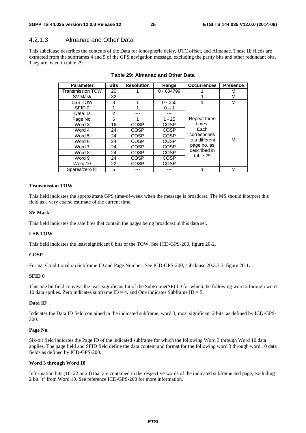#### 4.2.1.3 Almanac and Other Data

This subclause describes the contents of the Data for ionospheric delay, UTC offset, and Almanac. These IE fileds are extracted from the subframes 4 and 5 of the GPS navigation message, excluding the parity bits and other redundant bits. They are listed in table 29.

| <b>Parameter</b>        | <b>Bits</b>    | <b>Resolution</b> | Range        | <b>Occurrences</b>            | <b>Presence</b> |
|-------------------------|----------------|-------------------|--------------|-------------------------------|-----------------|
| <b>Transmission TOW</b> | 20             |                   | $0 - 604799$ |                               | м               |
| SV Mask                 | 32             |                   |              |                               | м               |
| LSB TOW                 | 8              |                   | $0 - 255$    |                               | м               |
| SFID 0                  | 1              |                   | $0 - 1$      |                               |                 |
| Data ID                 | $\overline{2}$ |                   | ---          |                               |                 |
| Page No.                | 6              |                   | $1 - 25$     | Repeat three                  |                 |
| Word 3                  | 16             | COSP              | COSP         | times:<br>Each<br>corresponds |                 |
| Word 4                  | 24             | <b>COSP</b>       | <b>COSP</b>  |                               |                 |
| Word 5                  | 24             | COSP              | COSP         |                               |                 |
| Word 6                  | 24             | COSP              | COSP         | to a different                | М               |
| Word 7                  | 24             | COSP              | COSP         | page no. as                   |                 |
| Word 8                  | 24             | COSP              | COSP         | described in<br>table 29      |                 |
| Word 9                  | 24             | <b>COSP</b>       | COSP         |                               |                 |
| Word 10                 | 22             | COSP              | COSP         |                               |                 |
| Spares/zero fill        | 5              |                   |              |                               | М               |

#### **Table 29: Almanac and Other Data**

#### **Transmission TOW**

This field indicates the approximate GPS time-of-week when the message is broadcast. The MS should interpret this field as a very coarse estimate of the current time.

#### **SV Mask**

This field indicates the satellites that contain the pages being broadcast in this data set.

#### **LSB TOW**

This field indicates the least significant 8 bits of the TOW. See ICD-GPS-200, figure 20-2.

#### **COSP**

Format Conditional on Subframe ID and Page Number. See ICD-GPS-200, subclause 20.3.3.5, figure 20-1.

#### **SFID 0**

This one bit field conveys the least significant bit of the SubFrame(SF) ID for which the following word 3 through word 10 data applies. Zero indicates subframe  $ID = 4$ , and One indicates Subframe  $ID = 5$ .

#### **Data ID**

Indicates the Data ID field contained in the indicated subframe, word 3, most significant 2 bits, as defined by ICD-GPS-200.

#### **Page No.**

Six-bit field indicates the Page ID of the indicated subframe for which the following Word 3 through Word 10 data applies. The page field and SFID field define the data content and format for the following word 3 through word 10 data fields as defined by ICD-GPS-200.

#### **Word 3 through Word 10**

Information bits (16, 22 or 24) that are contained in the respective words of the indicated subframe and page, excluding 2 bit "t" from Word 10. See reference ICD-GPS-200 for more information.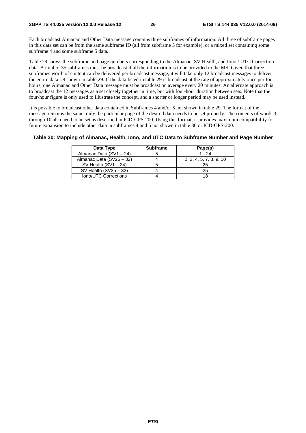Each broadcast Almanac and Other Data message contains three subframes of information. All three of subframe pages in this data set can be from the same subframe ID (all from subframe 5 for example), or a mixed set containing some subframe 4 and some subframe 5 data.

Table 29 shows the subframe and page numbers corresponding to the Almanac, SV Health, and Iono / UTC Correction data. A total of 35 subframes must be broadcast if all the information is to be provided to the MS. Given that three subframes worth of content can be delivered per broadcast message, it will take only 12 broadcast messages to deliver the entire data set shown in table 29. If the data listed in table 29 is broadcast at the rate of approximately once per four hours, one Almanac and Other Data message must be broadcast on average every 20 minutes. An alternate approach is to broadcast the 12 messages as a set closely together in time, but with four-hour duration between sets. Note that the four-hour figure is only used to illustrate the concept, and a shorter or longer period may be used instead.

It is possible to broadcast other data contained in Subframes 4 and/or 5 not shown in table 29. The format of the message remains the same, only the particular page of the desired data needs to be set properly. The contents of words 3 through 10 also need to be set as described in ICD-GPS-200. Using this format, it provides maximum compatibility for future expansion to include other data in subframes 4 and 5 not shown in table 30 or ICD-GPS-200.

#### **Table 30: Mapping of Almanac, Health, Iono, and UTC Data to Subframe Number and Page Number**

| Data Type                | <b>Subframe</b> | Page(s)                 |
|--------------------------|-----------------|-------------------------|
| Almanac Data (SV1 - 24)  |                 | $1 - 24$                |
| Almanac Data (SV25 - 32) |                 | 2, 3, 4, 5, 7, 8, 9, 10 |
| SV Health $(SV1 - 24)$   |                 | 25                      |
| SV Health $(SV25 - 32)$  |                 | 25                      |
| Iono/UTC Corrections     |                 |                         |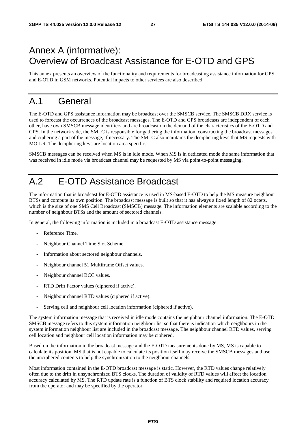### Annex A (informative): Overview of Broadcast Assistance for E-OTD and GPS

This annex presents an overview of the functionality and requirements for broadcasting assistance information for GPS and E-OTD in GSM networks. Potential impacts to other services are also described.

### A.1 General

The E-OTD and GPS assistance information may be broadcast over the SMSCB service. The SMSCB DRX service is used to forecast the occurrences of the broadcast messages. The E-OTD and GPS broadcasts are independent of each other, have own SMSCB message identifiers and are broadcast on the demand of the characteristics of the E-OTD and GPS. In the network side, the SMLC is responsible for gathering the information, constructing the broadcast messages and ciphering a part of the message, if necessary. The SMLC also maintains the deciphering keys that MS requests with MO-LR. The deciphering keys are location area specific.

SMSCB messages can be received when MS is in idle mode. When MS is in dedicated mode the same information that was received in idle mode via broadcast channel may be requested by MS via point-to-point messaging.

### A.2 E-OTD Assistance Broadcast

The information that is broadcast for E-OTD assistance is used in MS-based E-OTD to help the MS measure neighbour BTSs and compute its own position. The broadcast message is built so that it has always a fixed length of 82 octets, which is the size of one SMS Cell Broadcast (SMSCB) message. The information elements are scalable according to the number of neighbour BTSs and the amount of sectored channels.

In general, the following information is included in a broadcast E-OTD assistance message:

- Reference Time.
- Neighbour Channel Time Slot Scheme.
- Information about sectored neighbour channels.
- Neighbour channel 51 Multiframe Offset values.
- Neighbour channel BCC values.
- RTD Drift Factor values (ciphered if active).
- Neighbour channel RTD values (ciphered if active).
- Serving cell and neighbour cell location information (ciphered if active).

The system information message that is received in idle mode contains the neighbour channel information. The E-OTD SMSCB message refers to this system information neighbour list so that there is indication which neighbours in the system information neighbour list are included in the broadcast message. The neighbour channel RTD values, serving cell location and neighbour cell location information may be ciphered.

Based on the information in the broadcast message and the E-OTD measurements done by MS, MS is capable to calculate its position. MS that is not capable to calculate its position itself may receive the SMSCB messages and use the unciphered contents to help the synchronization to the neighbour channels.

Most information contained in the E-OTD broadcast message is static. However, the RTD values change relatively often due to the drift in unsynchronized BTS clocks. The duration of validity of RTD values will affect the location accuracy calculated by MS. The RTD update rate is a function of BTS clock stability and required location accuracy from the operator and may be specified by the operator.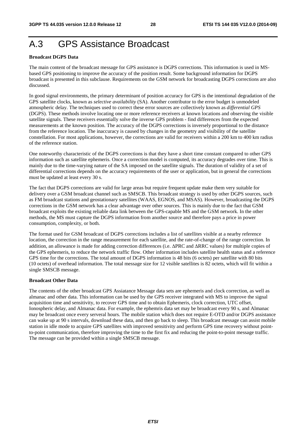### A.3 GPS Assistance Broadcast

#### **Broadcast DGPS Data**

The main content of the broadcast message for GPS assistance is DGPS corrections. This information is used in MSbased GPS positioning to improve the accuracy of the position result. Some background information for DGPS broadcast is presented in this subclause. Requirements on the GSM network for broadcasting DGPS corrections are also discussed.

In good signal environments, the primary determinant of position accuracy for GPS is the intentional degradation of the GPS satellite clocks, known as *selective availability* (SA). Another contributor to the error budget is unmodeled atmospheric delay. The techniques used to correct these error sources are collectively known as *differential GPS* (DGPS). These methods involve locating one or more reference receivers at known locations and observing the visible satellite signals. These receivers essentially solve the inverse GPS problem - find differences from the expected measurements at the known position. The accuracy of the DGPS corrections is inversely proportional to the distance from the reference location. The inaccuracy is caused by changes in the geometry and visibility of the satellite constellation. For most applications, however, the corrections are valid for receivers within a 200 km to 400 km radius of the reference station.

One noteworthy characteristic of the DGPS corrections is that they have a short time constant compared to other GPS information such as satellite ephemeris. Once a correction model is computed, its accuracy degrades over time. This is mainly due to the time-varying nature of the SA imposed on the satellite signals. The duration of validity of a set of differential corrections depends on the accuracy requirements of the user or application, but in general the corrections must be updated at least every 30 s.

The fact that DGPS corrections are valid for large areas but require frequent update make them very suitable for delivery over a GSM broadcast channel such as SMSCB. This broadcast strategy is used by other DGPS sources, such as FM broadcast stations and geostationary satellites (WAAS, EGNOS, and MSAS). However, broadcasting the DGPS corrections in the GSM network has a clear advantage over other sources. This is mainly due to the fact that GSM broadcast exploits the existing reliable data link between the GPS-capable MS and the GSM network. In the other methods, the MS must capture the DGPS information from another source and therefore pays a price in power consumption, complexity, or both.

The format used for GSM broadcast of DGPS corrections includes a list of satellites visible at a nearby reference location, the correction in the range measurement for each satellite, and the rate-of-change of the range correction. In addition, an allowance is made for adding correction differences (i.e. ΔPRC and ΔRRC values) for multiple copies of the GPS ephemeris, to reduce the network traffic flow. Other information includes satellite health status and a reference GPS time for the corrections. The total amount of DGPS information is 48 bits (6 octets) per satellite with 80 bits (10 octets) of overhead information. The total message size for 12 visible satellites is 82 octets, which will fit within a single SMSCB message.

#### **Broadcast Other Data**

The contents of the other broadcast GPS Assiatance Message data sets are ephemeris and clock correction, as well as almanac and other data. This information can be used by the GPS receiver integrated with MS to improve the signal acquisition time and sensitivity, to recover GPS time and to obtain Ephemeris, clock correction, UTC offset, Ionospheric delay, and Almanac data. For example, the ephemris data set may be broadcast every 90 s, and Almanac may be broadcast once every serveral hours. The mobile station which does not require E-OTD and/or DGPS assistance can wake up at 90 s intervals, download these data, and then go back to sleep. This broadcast message can assist mobile station in idle mode to acquire GPS satellites with improved sensitivity and perform GPS time recovery without pointto-point communication, therefore improving the time to the first fix and reducing the point-to-point message traffic. The message can be provided within a single SMSCB message.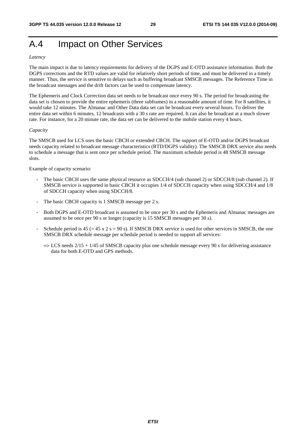### A.4 Impact on Other Services

#### *Latency*

The main impact is due to latency requirements for delivery of the DGPS and E-OTD assistance information. Both the DGPS corrections and the RTD values are valid for relatively short periods of time, and must be delivered in a timely manner. Thus, the service is sensitive to delays such as buffering broadcast SMSCB messages. The Reference Time in the broadcast messages and the drift factors can be used to compensate latency.

The Ephemeris and Clock Correction data set needs to be broadcast once every 90 s. The period for broadcasting the data set is chosen to provide the entire ephemeris (three subframes) in a reasonable amount of time. For 8 satellites, it would take 12 minutes. The Almanac and Other Data data set can be broadcast every several hours. To deliver the entire data set within 6 minutes, 12 broadcasts with a 30 s rate are required. It can also be broadcast at a much slower rate. For instance, for a 20 minute rate, the data set can be delivered to the mobile station every 4 hours.

#### *Capacity*

The SMSCB used for LCS uses the basic CBCH or extended CBCH. The support of E-OTD and/or DGPS broadcast needs capacity related to broadcast message characteristics (RTD/DGPS validity). The SMSCB DRX service also needs to schedule a message that is sent once per schedule period. The maximum schedule period is 48 SMSCB message slots.

Example of capacity scenario:

- The basic CBCH uses the same physical resource as SDCCH/4 (sub channel 2) or SDCCH/8 (sub channel 2). If SMSCB service is supported in basic CBCH it occupies 1/4 of SDCCH capacity when using SDCCH/4 and 1/8 of SDCCH capacity when using SDCCH/8.
- The basic CBCH capacity is 1 SMSCB message per 2 s.
- Both DGPS and E-OTD broadcast is assumed to be once per 30 s and the Ephemeris and Almanac messages are assumed to be once per 90 s or longer (capacity is 15 SMSCB messages per 30 s).
- Schedule period is  $45 (= 45 \times 2 \text{ s} = 90 \text{ s})$ . If SMSCB DRX service is used for other services in SMSCB, the one SMSCB DRX schedule message per schedule period is needed to support all services:
	- $\Rightarrow$  LCS needs 2/15 + 1/45 of SMSCB capacity plus one schedule message every 90 s for delivering assistance data for both E-OTD and GPS methods.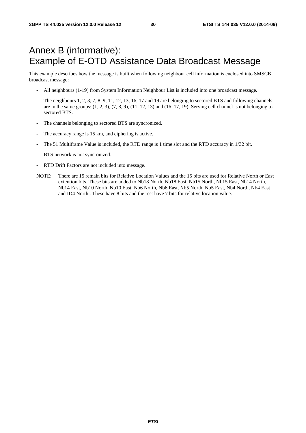### Annex B (informative): Example of E-OTD Assistance Data Broadcast Message

This example describes how the message is built when following neighbour cell information is enclosed into SMSCB broadcast message:

- All neighbours (1-19) from System Information Neighbour List is included into one broadcast message.
- The neighbours 1, 2, 3, 7, 8, 9, 11, 12, 13, 16, 17 and 19 are belonging to sectored BTS and following channels are in the same groups:  $(1, 2, 3)$ ,  $(7, 8, 9)$ ,  $(11, 12, 13)$  and  $(16, 17, 19)$ . Serving cell channel is not belonging to sectored BTS.
- The channels belonging to sectored BTS are syncronized.
- The accuracy range is 15 km, and ciphering is active.
- The 51 Multiframe Value is included, the RTD range is 1 time slot and the RTD accuracy in 1/32 bit.
- BTS network is not syncronized.
- RTD Drift Factors are not included into message.
- NOTE: There are 15 remain bits for Relative Location Values and the 15 bits are used for Relative North or East extention bits. These bits are added to Nb18 North, Nb18 East, Nb15 North, Nb15 East, Nb14 North, Nb14 East, Nb10 North, Nb10 East, Nb6 North, Nb6 East, Nb5 North, Nb5 East, Nb4 North, Nb4 East and ID4 North.. These have 8 bits and the rest have 7 bits for relative location value.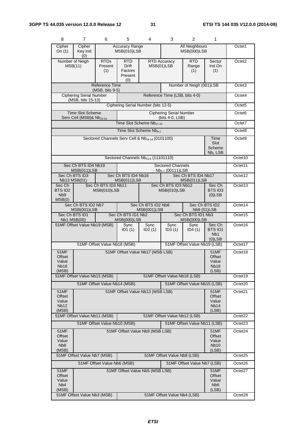| 8                                                             | $\overline{7}$                                                   | 6                                                           | 5                                                                                   | 4                                                                                    | 3                                                        | 2                                    | $\mathbf{1}$                                                |                     |  |
|---------------------------------------------------------------|------------------------------------------------------------------|-------------------------------------------------------------|-------------------------------------------------------------------------------------|--------------------------------------------------------------------------------------|----------------------------------------------------------|--------------------------------------|-------------------------------------------------------------|---------------------|--|
| Cipher<br>On $(1)$                                            | Cipher<br>Key Ind<br>(0)                                         |                                                             | <b>Accuracy Range</b><br>MSB(010)LSB                                                |                                                                                      |                                                          | <b>All Neighbours</b><br>MSB(000)LSB |                                                             | Octet1              |  |
|                                                               | Number of Neigh<br>RTD <sub>s</sub><br>MSB(11)<br>Present<br>(1) |                                                             | <b>RTD</b><br><b>Drift</b><br>Factors<br>Present<br>(0)                             |                                                                                      | <b>RTD Accuracy</b><br>MSB(01)LSB                        | <b>RTD</b><br>Range<br>(1)           | Sector<br>Ind On<br>(1)                                     | Octet <sub>2</sub>  |  |
| Reference Time<br>Number of Neigh (001)LSB<br>(MSB, bits 9-5) |                                                                  |                                                             |                                                                                     |                                                                                      |                                                          |                                      |                                                             | Octet <sub>3</sub>  |  |
|                                                               | <b>Ciphering Serial Number</b><br>(MSB, bits 15-13)              |                                                             |                                                                                     | Reference Time (LSB, bits 4-0)                                                       |                                                          |                                      |                                                             |                     |  |
|                                                               |                                                                  |                                                             |                                                                                     | Ciphering Serial Number (bits 12-5)                                                  |                                                          |                                      |                                                             |                     |  |
|                                                               | <b>Time Slot Scheme</b><br>Serv Cell (MSB)& Nb <sub>19-18</sub>  |                                                             |                                                                                     |                                                                                      | <b>Ciphering Serial Number</b><br>(bits 4-0, LSB)        |                                      |                                                             | Octet <sub>6</sub>  |  |
|                                                               |                                                                  |                                                             |                                                                                     | Time Slot Scheme Nb <sub>17-10</sub>                                                 |                                                          |                                      |                                                             | Octet7              |  |
|                                                               |                                                                  |                                                             |                                                                                     | Time Slot Scheme Nb <sub>9-2</sub>                                                   |                                                          |                                      |                                                             | Octet8              |  |
|                                                               |                                                                  | Sectored Channels Serv Cell & Nb <sub>19-14</sub> (0101100) |                                                                                     |                                                                                      |                                                          |                                      | Time<br>Slot<br>Scheme<br>$Nb1$ LSB                         | Octet9              |  |
|                                                               |                                                                  |                                                             |                                                                                     | Sectored Channels Nb <sub>13-6</sub> (11101110)                                      |                                                          |                                      |                                                             | Octet10             |  |
|                                                               | Sec Ch BTS ID4 Nb19<br>MSB(011)LSB                               |                                                             |                                                                                     |                                                                                      | <b>Sectored Channels</b><br>Nb <sub>5-1</sub> (00111)LSB |                                      |                                                             | Octet11             |  |
|                                                               | Sec Ch BTS ID3<br>Nb13 MSB(01)                                   |                                                             | Sec Ch BTS ID4 Nb16<br>MSB(011)LSB                                                  |                                                                                      |                                                          | Sec Ch BTS ID4 Nb17<br>MSB(011)LSB   |                                                             | Octet12             |  |
| Sec Ch<br>BTS ID2<br>N <sub>b</sub> 9<br>MSB(0)               | Sec Ch BTS ID3 Nb11<br>MSB(010)LSB                               |                                                             |                                                                                     |                                                                                      | Sec Ch BTS ID3 Nb12<br>MSB(010)LSB                       |                                      | Sec Ch<br>BTS ID3<br>$(0)$ LSB                              | Octet13             |  |
|                                                               | Sec Ch BTS ID2 Nb7<br>MSB(001)LSB                                |                                                             |                                                                                     | Sec Ch BTS ID2<br>Sec Ch BTS ID2 Nb8<br>MSB(001)LSB                                  |                                                          |                                      | Nb9 (01)LSB                                                 | Octet14             |  |
|                                                               | Sec Ch BTS ID1<br>Nb1 MSB(00)                                    |                                                             |                                                                                     | Sec Ch BTS ID1 Nb2<br>Sec Ch BTS ID1 Nb3<br><b>MSB(000)LSB</b><br><b>MSB(000)LSB</b> |                                                          |                                      |                                                             | Octet15             |  |
| 51MF Offset Value Nb19 (MSB)                                  |                                                                  |                                                             | Sync<br>ID1(1)                                                                      | Sync<br>ID2(1)                                                                       | Sync<br>ID3(1)                                           | Sync<br>ID4(1)                       | Sec Ch<br><b>BTSID1</b><br>N <sub>b</sub> 1<br>$(0)$ LSB    | Octet16             |  |
|                                                               |                                                                  | 51MF Offset Value Nb18 (MSB)                                |                                                                                     |                                                                                      |                                                          | 51MF Offset Value Nb19 (LSB)         |                                                             | Octet17             |  |
| 51MF<br>Offset<br>Value<br>Nb16<br>(MSB)                      |                                                                  |                                                             | 51MF Offset Value Nb17 (MSB LSB)<br>51MF<br>Offset<br>Value<br><b>Nb18</b><br>(LSB) |                                                                                      |                                                          |                                      | Octet18                                                     |                     |  |
|                                                               | 51MF Offset Value Nb15 (MSB)                                     |                                                             |                                                                                     |                                                                                      | 51MF Offset Value Nb16 (LSB)                             |                                      |                                                             | Octet19             |  |
|                                                               |                                                                  | 51MF Offset Value Nb14 (MSB)                                |                                                                                     | 51MF Offset Value Nb15 (LSB)                                                         |                                                          |                                      |                                                             | Octet <sub>20</sub> |  |
| <b>51MF</b><br>Offset<br>Value<br><b>Nb12</b><br>(MSB)        |                                                                  |                                                             |                                                                                     | 51MF Offset Value Nb13 (MSB LSB)                                                     |                                                          |                                      | <b>51MF</b><br>Offset<br>Value<br>Nb <sub>14</sub><br>(LSB) | Octet21             |  |
|                                                               | 51MF Offset Value Nb11 (MSB)<br>51MF Offset Value Nb12 (LSB)     |                                                             |                                                                                     |                                                                                      |                                                          |                                      | Octet22                                                     |                     |  |
|                                                               | 51MF Offset Value Nb10 (MSB)<br>51MF Offset Value Nb11 (LSB)     |                                                             |                                                                                     |                                                                                      |                                                          |                                      | Octet23                                                     |                     |  |
| 51MF<br>Offset<br>Value<br>N <sub>b</sub> 8<br>(MSB)          | 51MF Offset Value Nb9 (MSB LSB)                                  |                                                             |                                                                                     |                                                                                      |                                                          |                                      | 51MF<br>Offset<br>Value<br><b>Nb10</b><br>(LSB)             | Octet24             |  |
| 51MF Offset Value Nb7 (MSB)<br>51MF Offset Value Nb8 (LSB)    |                                                                  |                                                             |                                                                                     |                                                                                      |                                                          |                                      |                                                             | Octet <sub>25</sub> |  |
|                                                               | 51MF Offset Value Nb6 (MSB)<br>51MF Offset Value Nb7 (LSB)       |                                                             |                                                                                     |                                                                                      |                                                          |                                      |                                                             | Octet26             |  |
| 51MF<br>Offset<br>Value<br>N <sub>b</sub> 4<br>(MSB)          | 51MF Offset Value Nb5 (MSB LSB)                                  |                                                             |                                                                                     |                                                                                      |                                                          |                                      | 51MF<br>Offset<br>Value<br>N <sub>b</sub> 6<br>(LSB)        | Octet27             |  |
|                                                               | 51MF Offset Value Nb3 (MSB)                                      |                                                             |                                                                                     |                                                                                      | 51MF Offset Value Nb4 (LSB)                              |                                      |                                                             | Octet <sub>28</sub> |  |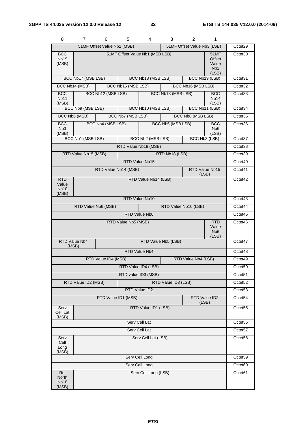| 8                                           |                                               | 6                           | 5                   | 4                               | 3.                  | 2                           |                                                             |                     |
|---------------------------------------------|-----------------------------------------------|-----------------------------|---------------------|---------------------------------|---------------------|-----------------------------|-------------------------------------------------------------|---------------------|
|                                             |                                               | 51MF Offset Value Nb2 (MSB) |                     |                                 |                     | 51MF Offset Value Nb3 (LSB) |                                                             | Octet29             |
| <b>BCC</b><br><b>Nb19</b><br>(MSB)          |                                               |                             |                     | 51MF Offset Value Nb1 (MSB LSB) |                     |                             | <b>51MF</b><br>Offset<br>Value<br>N <sub>b</sub> 2<br>(LSB) | Octet <sub>30</sub> |
|                                             | BCC Nb17 (MSB LSB)                            |                             |                     | BCC Nb18 (MSB LSB)              |                     |                             | BCC Nb19 (LSB)                                              | Octet31             |
|                                             | BCC Nb14 (MSB)                                |                             | BCC Nb15 (MSB LSB)  |                                 |                     | BCC Nb16 (MSB LSB)          |                                                             | Octet <sub>32</sub> |
| <b>BCC</b><br><b>Nb11</b><br>(MSB)          |                                               | BCC Nb12 (MSB LSB)          |                     |                                 | BCC Nb13 (MSB LSB)  |                             | <b>BCC</b><br>Nb14<br>(LSB)                                 | Octet <sub>33</sub> |
|                                             | BCC Nb9 (MSB LSB)                             |                             |                     | BCC Nb10 (MSB LSB)              |                     |                             | BCC Nb11 (LSB)                                              | Octet34             |
|                                             | BCC Nb6 (MSB)                                 |                             | BCC Nb7 (MSB LSB)   |                                 |                     | BCC Nb8 (MSB LSB)           |                                                             | Octet <sub>35</sub> |
| <b>BCC</b><br>N <sub>b</sub> 3<br>(MSB)     |                                               | BCC Nb4 (MSB LSB)           |                     |                                 | BCC Nb5 (MSB LSB)   |                             | <b>BCC</b><br>N <sub>b</sub> 6<br>(LSB)                     | Octet36             |
|                                             | <b>BCC Nb1 (MSB LSB)</b>                      |                             |                     | BCC Nb2 (MSB LSB)               |                     |                             | BCC Nb3 (LSB)                                               | Octet37             |
|                                             |                                               |                             |                     | RTD Value Nb18 (MSB)            |                     |                             |                                                             | Octet38             |
|                                             | RTD Value Nb15 (MSB)                          |                             |                     |                                 | RTD Nb18 (LSB)      |                             |                                                             | Octet39             |
|                                             |                                               |                             |                     | RTD Value Nb15                  |                     |                             |                                                             | Octet40             |
|                                             |                                               | RTD Value Nb14 (MSB)        |                     |                                 |                     |                             | RTD Value Nb15<br>(LSB)                                     | Octet41             |
| <b>RTD</b><br>Value<br><b>Nb10</b><br>(MSB) |                                               |                             |                     | RTD Value Nb14 (LSB)            |                     |                             |                                                             | Octet42             |
|                                             |                                               |                             |                     | RTD Value Nb10                  |                     |                             |                                                             | Octet43             |
|                                             | RTD Value Nb6 (MSB)<br>RTD Value Nb10 (LSB)   |                             |                     |                                 |                     |                             | Octet44                                                     |                     |
|                                             |                                               |                             |                     | RTD Value Nb6                   |                     |                             |                                                             | Octet45             |
|                                             |                                               |                             | RTD Value Nb5 (MSB) |                                 |                     |                             | <b>RTD</b><br>Value<br>N <sub>b</sub> <sub>6</sub><br>(LSB) | Octet46             |
| <b>RTD Value Nb4</b><br>(MSB)               |                                               |                             |                     |                                 | RTD Value Nb5 (LSB) |                             |                                                             | Octet47             |
|                                             |                                               |                             |                     | RTD Value Nb4                   |                     |                             |                                                             | Octet48             |
|                                             |                                               | RTD Value ID4 (MSB)         |                     |                                 |                     | RTD Value Nb4 (LSB)         |                                                             | Octet49             |
|                                             |                                               |                             |                     | RTD Value ID4 (LSB)             |                     |                             |                                                             | Octet50             |
|                                             |                                               |                             |                     | RTD value ID3 (MSB)             |                     |                             |                                                             | Octet51             |
|                                             | RTD Value ID2 (MSB)                           |                             | RTD Value ID3 (LSB) |                                 |                     |                             |                                                             | Octet52             |
|                                             |                                               |                             | RTD Value ID2       |                                 |                     |                             |                                                             | Octet53             |
|                                             | RTD Value ID1 (MSB)<br>RTD Value ID2<br>(LSB) |                             |                     |                                 |                     |                             | Octet54                                                     |                     |
| Serv<br>Cell Lat<br>(MSB)                   |                                               |                             |                     | RTD Value ID1 (LSB)             |                     |                             |                                                             | Octet55             |
| Serv Cell Lat                               |                                               |                             |                     |                                 |                     |                             | Octet56                                                     |                     |
| Serv Cell Lat                               |                                               |                             |                     |                                 |                     | Octet57                     |                                                             |                     |
| Serv<br>Cell<br>Long<br>(MSB)               |                                               |                             |                     | Serv Cell Lat (LSB)             |                     |                             |                                                             | Octet58             |
|                                             |                                               |                             |                     | Serv Cell Long                  |                     |                             |                                                             | Octet59             |
|                                             |                                               |                             |                     | Serv Cell Long                  |                     |                             |                                                             | Octet60             |
| Rel<br><b>North</b><br><b>Nb18</b><br>(MSB) |                                               |                             |                     | Serv Cell Long (LSB)            |                     |                             |                                                             | Octet61             |

8 7 6 5 4 3 2 1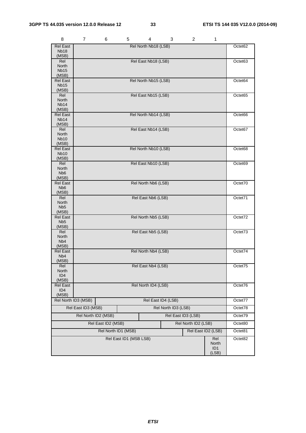| 8                                   | 7                                         | 6                  | 5                      | 4                    | 3                   | 2                   | 1            |         |
|-------------------------------------|-------------------------------------------|--------------------|------------------------|----------------------|---------------------|---------------------|--------------|---------|
| <b>Rel East</b>                     |                                           |                    |                        | Rel North Nb18 (LSB) |                     |                     |              | Octet62 |
| <b>Nb18</b><br>(MSB)                |                                           |                    |                        |                      |                     |                     |              |         |
| Rel                                 |                                           |                    |                        | Rel East Nb18 (LSB)  |                     |                     |              | Octet63 |
| North<br><b>Nb15</b>                |                                           |                    |                        |                      |                     |                     |              |         |
| (MSB)                               |                                           |                    |                        |                      |                     |                     |              |         |
| <b>Rel East</b>                     |                                           |                    |                        | Rel North Nb15 (LSB) |                     |                     |              | Octet64 |
| <b>Nb15</b><br>(MSB)                |                                           |                    |                        |                      |                     |                     |              |         |
| Rel                                 |                                           |                    |                        | Rel East Nb15 (LSB)  |                     |                     |              | Octet65 |
| North                               |                                           |                    |                        |                      |                     |                     |              |         |
| <b>Nb14</b><br>(MSB)                |                                           |                    |                        |                      |                     |                     |              |         |
| <b>Rel East</b>                     |                                           |                    |                        | Rel North Nb14 (LSB) |                     |                     |              | Octet66 |
| <b>Nb14</b><br>(MSB)                |                                           |                    |                        |                      |                     |                     |              |         |
| Rel                                 |                                           |                    |                        | Rel East Nb14 (LSB)  |                     |                     |              | Octet67 |
| North                               |                                           |                    |                        |                      |                     |                     |              |         |
| <b>Nb10</b><br>(MSB)                |                                           |                    |                        |                      |                     |                     |              |         |
| <b>Rel East</b>                     |                                           |                    |                        | Rel North Nb10 (LSB) |                     |                     |              | Octet68 |
| <b>Nb10</b>                         |                                           |                    |                        |                      |                     |                     |              |         |
| (MSB)<br>Rel                        |                                           |                    |                        | Rel East Nb10 (LSB)  |                     |                     |              | Octet69 |
| North                               |                                           |                    |                        |                      |                     |                     |              |         |
| N <sub>b</sub> 6                    |                                           |                    |                        |                      |                     |                     |              |         |
| (MSB)<br><b>Rel East</b>            |                                           |                    |                        | Rel North Nb6 (LSB)  |                     |                     |              | Octet70 |
| N <sub>b</sub> 6                    |                                           |                    |                        |                      |                     |                     |              |         |
| (MSB)                               |                                           |                    |                        |                      |                     |                     |              |         |
| Rel<br>North                        |                                           |                    |                        | Rel East Nb6 (LSB)   |                     |                     |              | Octet71 |
| N <sub>b5</sub>                     |                                           |                    |                        |                      |                     |                     |              |         |
| (MSB)<br><b>Rel East</b>            |                                           |                    |                        | Rel North Nb5 (LSB)  |                     |                     |              | Octet72 |
| N <sub>b5</sub>                     |                                           |                    |                        |                      |                     |                     |              |         |
| (MSB)                               |                                           |                    |                        |                      |                     |                     |              |         |
| Rel<br>North                        |                                           |                    |                        | Rel East Nb5 (LSB)   |                     |                     |              | Octet73 |
| N <sub>b</sub> 4                    |                                           |                    |                        |                      |                     |                     |              |         |
| (MSB)                               |                                           |                    |                        |                      |                     |                     |              |         |
| <b>Rel East</b><br>N <sub>b</sub> 4 | Rel North Nb4 (LSB)                       |                    |                        |                      |                     | Octet74             |              |         |
| (MSB)                               |                                           |                    |                        |                      |                     |                     |              |         |
| Rel                                 | Rel East Nb4 (LSB)                        |                    |                        |                      |                     | Octet/5             |              |         |
| North<br>ID4                        |                                           |                    |                        |                      |                     |                     |              |         |
| (MSB)                               |                                           |                    |                        |                      |                     |                     |              |         |
| <b>Rel East</b><br>ID <sub>4</sub>  |                                           |                    |                        | Rel North ID4 (LSB)  |                     |                     |              | Octet76 |
| (MSB)                               |                                           |                    |                        |                      |                     |                     |              |         |
|                                     | Rel North ID3 (MSB)                       |                    |                        | Rel East ID4 (LSB)   |                     |                     |              | Octet77 |
|                                     | Rel East ID3 (MSB)                        |                    |                        |                      | Rel North ID3 (LSB) |                     |              | Octet78 |
|                                     | Rel North ID2 (MSB)                       |                    |                        |                      |                     | Rel East ID3 (LSB)  |              | Octet79 |
|                                     |                                           | Rel East ID2 (MSB) |                        |                      |                     | Rel North ID2 (LSB) |              | Octet80 |
|                                     | Rel North ID1 (MSB)<br>Rel East ID2 (LSB) |                    |                        |                      |                     |                     | Octet81      |         |
|                                     |                                           |                    | Rel East ID1 (MSB LSB) |                      |                     |                     | Rel          | Octet82 |
|                                     |                                           |                    |                        |                      |                     |                     | North        |         |
|                                     |                                           |                    |                        |                      |                     |                     | ID1<br>(LSB) |         |

*ETSI*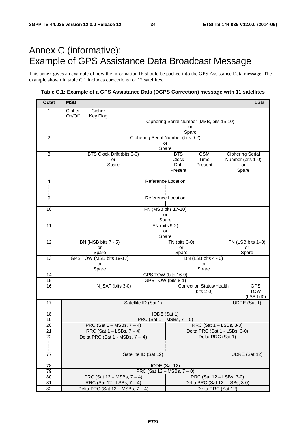### Annex C (informative): Example of GPS Assistance Data Broadcast Message

This annex gives an example of how the information IE should be packed into the GPS Assistance Data message. The example shown in table C.1 includes corrections for 12 satellites.

#### **Table C.1: Example of a GPS Assistance Data (DGPS Correction) message with 11 satellites**

| <b>Octet</b>    | <b>MSB</b><br><b>LSB</b>                                |                                    |                                        |                                                 |                                |                                 |  |                          |
|-----------------|---------------------------------------------------------|------------------------------------|----------------------------------------|-------------------------------------------------|--------------------------------|---------------------------------|--|--------------------------|
| 1               | Cipher                                                  | Cipher                             |                                        |                                                 |                                |                                 |  |                          |
|                 | On/Off                                                  | Key Flag                           |                                        |                                                 |                                |                                 |  |                          |
|                 |                                                         |                                    |                                        | Ciphering Serial Number (MSB, bits 15-10)<br>or |                                |                                 |  |                          |
|                 |                                                         |                                    |                                        |                                                 | Spare                          |                                 |  |                          |
| 2               |                                                         | Ciphering Serial Number (bits 9-2) |                                        |                                                 |                                |                                 |  |                          |
|                 |                                                         |                                    |                                        | or<br>Spare                                     |                                |                                 |  |                          |
| 3               |                                                         |                                    | BTS Clock Drift (bits 3-0)             |                                                 | <b>BTS</b>                     | <b>GSM</b>                      |  | <b>Ciphering Serial</b>  |
|                 |                                                         |                                    | or                                     |                                                 | Clock                          | Time                            |  | Number (bits 1-0)        |
|                 | Spare                                                   |                                    |                                        |                                                 | Drift<br>Present               | Present                         |  | or<br>Spare              |
|                 |                                                         |                                    |                                        |                                                 |                                |                                 |  |                          |
| 4               |                                                         |                                    |                                        | Reference Location                              |                                |                                 |  |                          |
|                 |                                                         |                                    |                                        |                                                 |                                |                                 |  |                          |
| 9               |                                                         |                                    |                                        | Reference Location                              |                                |                                 |  |                          |
|                 |                                                         |                                    |                                        |                                                 |                                |                                 |  |                          |
| 10              |                                                         |                                    |                                        |                                                 | FN (MSB bits 17-10)            |                                 |  |                          |
|                 |                                                         |                                    |                                        | or<br>Spare                                     |                                |                                 |  |                          |
| 11              |                                                         |                                    |                                        | FN (bits 9-2)                                   |                                |                                 |  |                          |
|                 |                                                         | or                                 |                                        |                                                 |                                |                                 |  |                          |
| 12              |                                                         | BN (MSB bits 7 - 5)                |                                        | Spare                                           | TN (bits 3-0)                  |                                 |  | FN (LSB bits 1-0)        |
|                 |                                                         | or                                 |                                        |                                                 | or                             |                                 |  | or                       |
|                 |                                                         | Spare                              |                                        |                                                 | Spare                          |                                 |  | Spare                    |
| 13              |                                                         | GPS TOW (MSB bits 19-17)           |                                        |                                                 |                                | BN (LSB bits 4 - 0)             |  |                          |
|                 |                                                         | or<br>Spare                        |                                        |                                                 |                                | or<br>Spare                     |  |                          |
| 14              | GPS TOW (bits 16-9)                                     |                                    |                                        |                                                 |                                |                                 |  |                          |
| 15              |                                                         |                                    |                                        | GPS TOW (bits 8-1)                              |                                |                                 |  |                          |
| 16              |                                                         |                                    | N_SAT (bits 3-0)                       |                                                 |                                | <b>Correction Status/Health</b> |  | <b>GPS</b><br><b>TOW</b> |
|                 |                                                         |                                    |                                        |                                                 |                                | $(bits 2-0)$                    |  | (LSB bit0)               |
| 17              |                                                         |                                    |                                        | Satellite ID (Sat 1)                            |                                |                                 |  | UDRE (Sat 1)             |
|                 |                                                         |                                    |                                        |                                                 |                                |                                 |  |                          |
| 18<br>19        |                                                         |                                    |                                        | IODE (Sat 1)<br>PRC (Sat $1 - MSBs$ , $7 - 0$ ) |                                |                                 |  |                          |
| 20              |                                                         |                                    | PRC (Sat $1 - \text{MSBs}, 7 - 4$ )    |                                                 |                                | RRC (Sat 1 - LSBs, 3-0)         |  |                          |
| $\overline{21}$ |                                                         |                                    | RRC (Sat $1 -$ LSBs, $7 - 4$ )         |                                                 | Delta PRC (Sat 1 - LSBs, 3-0)  |                                 |  |                          |
| 22              | Delta RRC (Sat 1)<br>Delta PRC (Sat 1 - MSBs, $7 - 4$ ) |                                    |                                        |                                                 |                                |                                 |  |                          |
| ł,<br>Ł         |                                                         |                                    |                                        |                                                 |                                |                                 |  |                          |
| 77              | Satellite ID (Sat 12)                                   |                                    |                                        |                                                 | UDRE (Sat 12)                  |                                 |  |                          |
| 78              |                                                         |                                    |                                        | IODE (Sat 12)                                   |                                |                                 |  |                          |
| 79              |                                                         |                                    |                                        | PRC (Sat $12 - MSBs$ , $7 - 0$ )                |                                |                                 |  |                          |
| 80              |                                                         |                                    | PRC (Sat $12 - MSBs$ , $7 - 4$ )       |                                                 |                                | RRC (Sat 12 - LSBs, 3-0)        |  |                          |
| 81              |                                                         |                                    | RRC (Sat 12-LSBs, 7-4)                 |                                                 | Delta PRC (Sat 12 - LSBs, 3-0) |                                 |  |                          |
| 82              |                                                         |                                    | Delta PRC (Sat $12 - MSBs$ , $7 - 4$ ) |                                                 | Delta RRC (Sat 12)             |                                 |  |                          |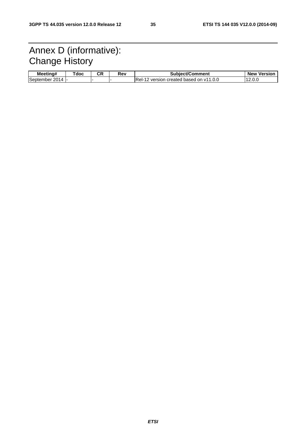### Annex D (informative): Change History

| <br>Meetina#                       | doc | Ωn<br>vn. | Rev | $\mathbf{10}$<br><b>Subiect/Comment</b>                     | Version<br><b>New</b> |
|------------------------------------|-----|-----------|-----|-------------------------------------------------------------|-----------------------|
| $\sim$<br>2014<br><b>September</b> | . . |           |     | .0.0<br>IRel-<br>1/11<br>version<br>created<br>based<br>on. | $\cdots$<br>ں. بے ا   |